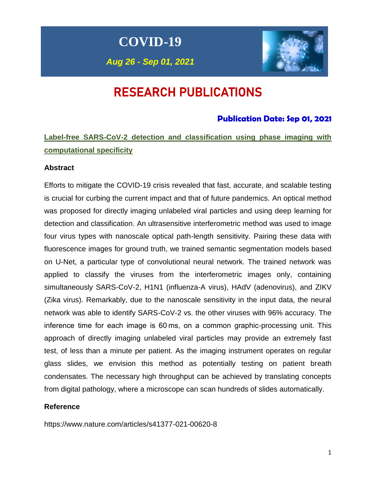# **COVID-19**

*Aug 26 - Sep 01, 2021*



# RESEARCH PUBLICATIONS

## **Publication Date: Sep 01, 2021**

## **Label-free SARS-CoV-2 detection and classification using phase imaging with computational specificity**

## **Abstract**

Efforts to mitigate the COVID-19 crisis revealed that fast, accurate, and scalable testing is crucial for curbing the current impact and that of future pandemics. An optical method was proposed for directly imaging unlabeled viral particles and using deep learning for detection and classification. An ultrasensitive interferometric method was used to image four virus types with nanoscale optical path-length sensitivity. Pairing these data with fluorescence images for ground truth, we trained semantic segmentation models based on U-Net, a particular type of convolutional neural network. The trained network was applied to classify the viruses from the interferometric images only, containing simultaneously SARS-CoV-2, H1N1 (influenza-A virus), HAdV (adenovirus), and ZIKV (Zika virus). Remarkably, due to the nanoscale sensitivity in the input data, the neural network was able to identify SARS-CoV-2 vs. the other viruses with 96% accuracy. The inference time for each image is 60 ms, on a common graphic-processing unit. This approach of directly imaging unlabeled viral particles may provide an extremely fast test, of less than a minute per patient. As the imaging instrument operates on regular glass slides, we envision this method as potentially testing on patient breath condensates. The necessary high throughput can be achieved by translating concepts from digital pathology, where a microscope can scan hundreds of slides automatically.

## **Reference**

https://www.nature.com/articles/s41377-021-00620-8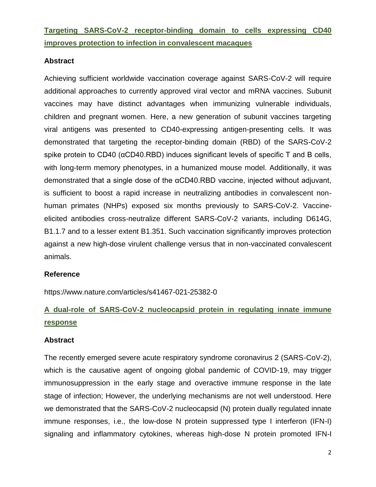## **Targeting SARS-CoV-2 receptor-binding domain to cells expressing CD40 improves protection to infection in convalescent macaques**

## **Abstract**

Achieving sufficient worldwide vaccination coverage against SARS-CoV-2 will require additional approaches to currently approved viral vector and mRNA vaccines. Subunit vaccines may have distinct advantages when immunizing vulnerable individuals, children and pregnant women. Here, a new generation of subunit vaccines targeting viral antigens was presented to CD40-expressing antigen-presenting cells. It was demonstrated that targeting the receptor-binding domain (RBD) of the SARS-CoV-2 spike protein to CD40 (αCD40.RBD) induces significant levels of specific T and B cells, with long-term memory phenotypes, in a humanized mouse model. Additionally, it was demonstrated that a single dose of the αCD40.RBD vaccine, injected without adjuvant, is sufficient to boost a rapid increase in neutralizing antibodies in convalescent nonhuman primates (NHPs) exposed six months previously to SARS-CoV-2. Vaccineelicited antibodies cross-neutralize different SARS-CoV-2 variants, including D614G, B1.1.7 and to a lesser extent B1.351. Such vaccination significantly improves protection against a new high-dose virulent challenge versus that in non-vaccinated convalescent animals.

## **Reference**

https://www.nature.com/articles/s41467-021-25382-0

## **A dual-role of SARS-CoV-2 nucleocapsid protein in regulating innate immune response**

## **Abstract**

The recently emerged severe acute respiratory syndrome coronavirus 2 (SARS-CoV-2), which is the causative agent of ongoing global pandemic of COVID-19, may trigger immunosuppression in the early stage and overactive immune response in the late stage of infection; However, the underlying mechanisms are not well understood. Here we demonstrated that the SARS-CoV-2 nucleocapsid (N) protein dually regulated innate immune responses, i.e., the low-dose N protein suppressed type I interferon (IFN-I) signaling and inflammatory cytokines, whereas high-dose N protein promoted IFN-I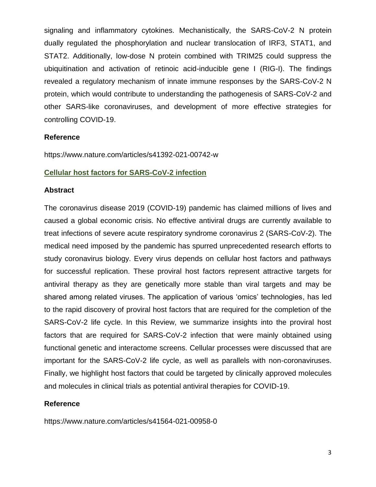signaling and inflammatory cytokines. Mechanistically, the SARS-CoV-2 N protein dually regulated the phosphorylation and nuclear translocation of IRF3, STAT1, and STAT2. Additionally, low-dose N protein combined with TRIM25 could suppress the ubiquitination and activation of retinoic acid-inducible gene I (RIG-I). The findings revealed a regulatory mechanism of innate immune responses by the SARS-CoV-2 N protein, which would contribute to understanding the pathogenesis of SARS-CoV-2 and other SARS-like coronaviruses, and development of more effective strategies for controlling COVID-19.

### **Reference**

https://www.nature.com/articles/s41392-021-00742-w

### **Cellular host factors for SARS-CoV-2 infection**

### **Abstract**

The coronavirus disease 2019 (COVID-19) pandemic has claimed millions of lives and caused a global economic crisis. No effective antiviral drugs are currently available to treat infections of severe acute respiratory syndrome coronavirus 2 (SARS-CoV-2). The medical need imposed by the pandemic has spurred unprecedented research efforts to study coronavirus biology. Every virus depends on cellular host factors and pathways for successful replication. These proviral host factors represent attractive targets for antiviral therapy as they are genetically more stable than viral targets and may be shared among related viruses. The application of various 'omics' technologies, has led to the rapid discovery of proviral host factors that are required for the completion of the SARS-CoV-2 life cycle. In this Review, we summarize insights into the proviral host factors that are required for SARS-CoV-2 infection that were mainly obtained using functional genetic and interactome screens. Cellular processes were discussed that are important for the SARS-CoV-2 life cycle, as well as parallels with non-coronaviruses. Finally, we highlight host factors that could be targeted by clinically approved molecules and molecules in clinical trials as potential antiviral therapies for COVID-19.

### **Reference**

https://www.nature.com/articles/s41564-021-00958-0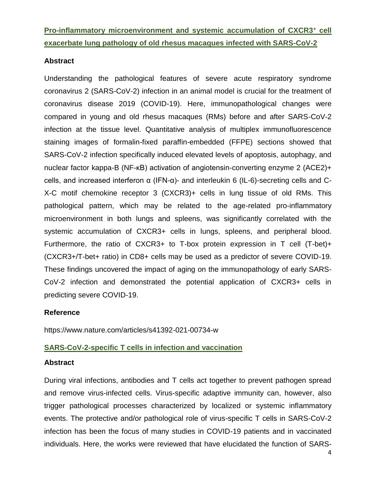**Pro-inflammatory microenvironment and systemic accumulation of CXCR3<sup>+</sup> cell exacerbate lung pathology of old rhesus macaques infected with SARS-CoV-2**

## **Abstract**

Understanding the pathological features of severe acute respiratory syndrome coronavirus 2 (SARS-CoV-2) infection in an animal model is crucial for the treatment of coronavirus disease 2019 (COVID-19). Here, immunopathological changes were compared in young and old rhesus macaques (RMs) before and after SARS-CoV-2 infection at the tissue level. Quantitative analysis of multiplex immunofluorescence staining images of formalin-fixed paraffin-embedded (FFPE) sections showed that SARS-CoV-2 infection specifically induced elevated levels of apoptosis, autophagy, and nuclear factor kappa-B (NF-κB) activation of angiotensin-converting enzyme 2 (ACE2)+ cells, and increased interferon α (IFN-α)- and interleukin 6 (IL-6)-secreting cells and C-X-C motif chemokine receptor 3 (CXCR3)+ cells in lung tissue of old RMs. This pathological pattern, which may be related to the age-related pro-inflammatory microenvironment in both lungs and spleens, was significantly correlated with the systemic accumulation of CXCR3+ cells in lungs, spleens, and peripheral blood. Furthermore, the ratio of CXCR3+ to T-box protein expression in T cell (T-bet)+ (CXCR3+/T-bet+ ratio) in CD8+ cells may be used as a predictor of severe COVID-19. These findings uncovered the impact of aging on the immunopathology of early SARS-CoV-2 infection and demonstrated the potential application of CXCR3+ cells in predicting severe COVID-19.

## **Reference**

https://www.nature.com/articles/s41392-021-00734-w

## **SARS-CoV-2-specific T cells in infection and vaccination**

## **Abstract**

During viral infections, antibodies and T cells act together to prevent pathogen spread and remove virus-infected cells. Virus-specific adaptive immunity can, however, also trigger pathological processes characterized by localized or systemic inflammatory events. The protective and/or pathological role of virus-specific T cells in SARS-CoV-2 infection has been the focus of many studies in COVID-19 patients and in vaccinated individuals. Here, the works were reviewed that have elucidated the function of SARS-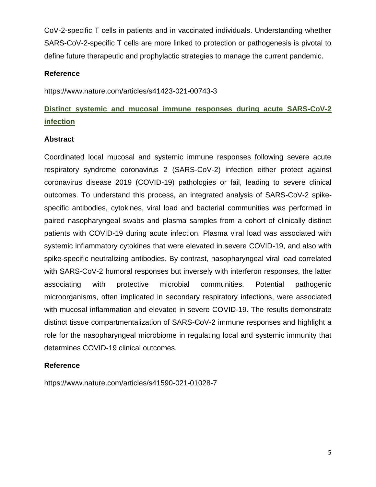CoV-2-specific T cells in patients and in vaccinated individuals. Understanding whether SARS-CoV-2-specific T cells are more linked to protection or pathogenesis is pivotal to define future therapeutic and prophylactic strategies to manage the current pandemic.

## **Reference**

https://www.nature.com/articles/s41423-021-00743-3

## **Distinct systemic and mucosal immune responses during acute SARS-CoV-2 infection**

## **Abstract**

Coordinated local mucosal and systemic immune responses following severe acute respiratory syndrome coronavirus 2 (SARS-CoV-2) infection either protect against coronavirus disease 2019 (COVID-19) pathologies or fail, leading to severe clinical outcomes. To understand this process, an integrated analysis of SARS-CoV-2 spikespecific antibodies, cytokines, viral load and bacterial communities was performed in paired nasopharyngeal swabs and plasma samples from a cohort of clinically distinct patients with COVID-19 during acute infection. Plasma viral load was associated with systemic inflammatory cytokines that were elevated in severe COVID-19, and also with spike-specific neutralizing antibodies. By contrast, nasopharyngeal viral load correlated with SARS-CoV-2 humoral responses but inversely with interferon responses, the latter associating with protective microbial communities. Potential pathogenic microorganisms, often implicated in secondary respiratory infections, were associated with mucosal inflammation and elevated in severe COVID-19. The results demonstrate distinct tissue compartmentalization of SARS-CoV-2 immune responses and highlight a role for the nasopharyngeal microbiome in regulating local and systemic immunity that determines COVID-19 clinical outcomes.

## **Reference**

https://www.nature.com/articles/s41590-021-01028-7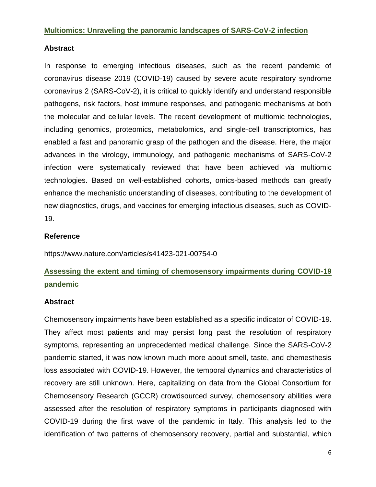### **Multiomics: Unraveling the panoramic landscapes of SARS-CoV-2 infection**

## **Abstract**

In response to emerging infectious diseases, such as the recent pandemic of coronavirus disease 2019 (COVID-19) caused by severe acute respiratory syndrome coronavirus 2 (SARS-CoV-2), it is critical to quickly identify and understand responsible pathogens, risk factors, host immune responses, and pathogenic mechanisms at both the molecular and cellular levels. The recent development of multiomic technologies, including genomics, proteomics, metabolomics, and single-cell transcriptomics, has enabled a fast and panoramic grasp of the pathogen and the disease. Here, the major advances in the virology, immunology, and pathogenic mechanisms of SARS-CoV-2 infection were systematically reviewed that have been achieved *via* multiomic technologies. Based on well-established cohorts, omics-based methods can greatly enhance the mechanistic understanding of diseases, contributing to the development of new diagnostics, drugs, and vaccines for emerging infectious diseases, such as COVID-19.

## **Reference**

https://www.nature.com/articles/s41423-021-00754-0

## **Assessing the extent and timing of chemosensory impairments during COVID-19 pandemic**

## **Abstract**

Chemosensory impairments have been established as a specific indicator of COVID-19. They affect most patients and may persist long past the resolution of respiratory symptoms, representing an unprecedented medical challenge. Since the SARS-CoV-2 pandemic started, it was now known much more about smell, taste, and chemesthesis loss associated with COVID-19. However, the temporal dynamics and characteristics of recovery are still unknown. Here, capitalizing on data from the Global Consortium for Chemosensory Research (GCCR) crowdsourced survey, chemosensory abilities were assessed after the resolution of respiratory symptoms in participants diagnosed with COVID-19 during the first wave of the pandemic in Italy. This analysis led to the identification of two patterns of chemosensory recovery, partial and substantial, which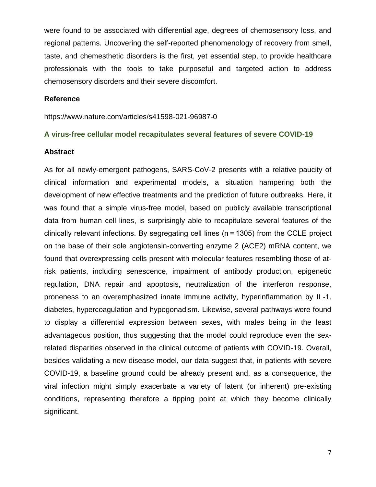were found to be associated with differential age, degrees of chemosensory loss, and regional patterns. Uncovering the self-reported phenomenology of recovery from smell, taste, and chemesthetic disorders is the first, yet essential step, to provide healthcare professionals with the tools to take purposeful and targeted action to address chemosensory disorders and their severe discomfort.

#### **Reference**

https://www.nature.com/articles/s41598-021-96987-0

#### **A virus-free cellular model recapitulates several features of severe COVID-19**

#### **Abstract**

As for all newly-emergent pathogens, SARS-CoV-2 presents with a relative paucity of clinical information and experimental models, a situation hampering both the development of new effective treatments and the prediction of future outbreaks. Here, it was found that a simple virus-free model, based on publicly available transcriptional data from human cell lines, is surprisingly able to recapitulate several features of the clinically relevant infections. By segregating cell lines (n = 1305) from the CCLE project on the base of their sole angiotensin-converting enzyme 2 (ACE2) mRNA content, we found that overexpressing cells present with molecular features resembling those of atrisk patients, including senescence, impairment of antibody production, epigenetic regulation, DNA repair and apoptosis, neutralization of the interferon response, proneness to an overemphasized innate immune activity, hyperinflammation by IL-1, diabetes, hypercoagulation and hypogonadism. Likewise, several pathways were found to display a differential expression between sexes, with males being in the least advantageous position, thus suggesting that the model could reproduce even the sexrelated disparities observed in the clinical outcome of patients with COVID-19. Overall, besides validating a new disease model, our data suggest that, in patients with severe COVID-19, a baseline ground could be already present and, as a consequence, the viral infection might simply exacerbate a variety of latent (or inherent) pre-existing conditions, representing therefore a tipping point at which they become clinically significant.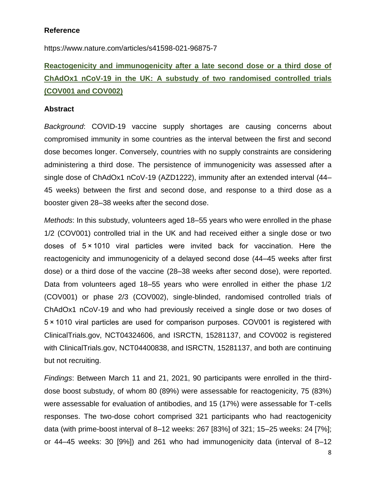## **Reference**

https://www.nature.com/articles/s41598-021-96875-7

## **Reactogenicity and immunogenicity after a late second dose or a third dose of ChAdOx1 nCoV-19 in the UK: A substudy of two randomised controlled trials (COV001 and COV002)**

### **Abstract**

*Background*: COVID-19 vaccine supply shortages are causing concerns about compromised immunity in some countries as the interval between the first and second dose becomes longer. Conversely, countries with no supply constraints are considering administering a third dose. The persistence of immunogenicity was assessed after a single dose of ChAdOx1 nCoV-19 (AZD1222), immunity after an extended interval (44– 45 weeks) between the first and second dose, and response to a third dose as a booster given 28–38 weeks after the second dose.

*Methods*: In this substudy, volunteers aged 18–55 years who were enrolled in the phase 1/2 (COV001) controlled trial in the UK and had received either a single dose or two doses of 5 × 1010 viral particles were invited back for vaccination. Here the reactogenicity and immunogenicity of a delayed second dose (44–45 weeks after first dose) or a third dose of the vaccine (28–38 weeks after second dose), were reported. Data from volunteers aged 18–55 years who were enrolled in either the phase 1/2 (COV001) or phase 2/3 (COV002), single-blinded, randomised controlled trials of ChAdOx1 nCoV-19 and who had previously received a single dose or two doses of 5 × 1010 viral particles are used for comparison purposes. COV001 is registered with ClinicalTrials.gov, NCT04324606, and ISRCTN, 15281137, and COV002 is registered with ClinicalTrials.gov, NCT04400838, and ISRCTN, 15281137, and both are continuing but not recruiting.

*Findings*: Between March 11 and 21, 2021, 90 participants were enrolled in the thirddose boost substudy, of whom 80 (89%) were assessable for reactogenicity, 75 (83%) were assessable for evaluation of antibodies, and 15 (17%) were assessable for T-cells responses. The two-dose cohort comprised 321 participants who had reactogenicity data (with prime-boost interval of 8–12 weeks: 267 [83%] of 321; 15–25 weeks: 24 [7%]; or 44–45 weeks: 30 [9%]) and 261 who had immunogenicity data (interval of 8–12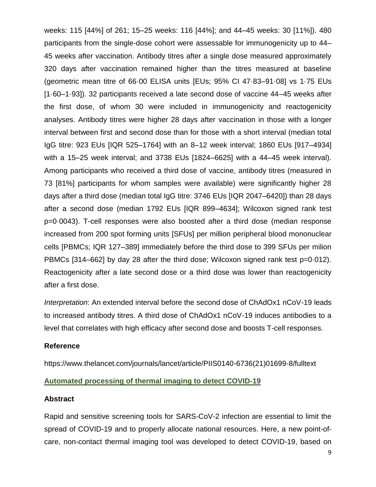weeks: 115 [44%] of 261; 15–25 weeks: 116 [44%]; and 44–45 weeks: 30 [11%]). 480 participants from the single-dose cohort were assessable for immunogenicity up to 44– 45 weeks after vaccination. Antibody titres after a single dose measured approximately 320 days after vaccination remained higher than the titres measured at baseline (geometric mean titre of 66·00 ELISA units [EUs; 95% CI 47·83–91·08] vs 1·75 EUs [1·60–1·93]). 32 participants received a late second dose of vaccine 44–45 weeks after the first dose, of whom 30 were included in immunogenicity and reactogenicity analyses. Antibody titres were higher 28 days after vaccination in those with a longer interval between first and second dose than for those with a short interval (median total IgG titre: 923 EUs [IQR 525–1764] with an 8–12 week interval; 1860 EUs [917–4934] with a 15–25 week interval; and 3738 EUs [1824–6625] with a 44–45 week interval). Among participants who received a third dose of vaccine, antibody titres (measured in 73 [81%] participants for whom samples were available) were significantly higher 28 days after a third dose (median total IgG titre: 3746 EUs [IQR 2047–6420]) than 28 days after a second dose (median 1792 EUs [IQR 899–4634]; Wilcoxon signed rank test p=0·0043). T-cell responses were also boosted after a third dose (median response increased from 200 spot forming units [SFUs] per million peripheral blood mononuclear cells [PBMCs; IQR 127–389] immediately before the third dose to 399 SFUs per milion PBMCs [314–662] by day 28 after the third dose; Wilcoxon signed rank test p=0·012). Reactogenicity after a late second dose or a third dose was lower than reactogenicity after a first dose.

*Interpretation*: An extended interval before the second dose of ChAdOx1 nCoV-19 leads to increased antibody titres. A third dose of ChAdOx1 nCoV-19 induces antibodies to a level that correlates with high efficacy after second dose and boosts T-cell responses.

### **Reference**

https://www.thelancet.com/journals/lancet/article/PIIS0140-6736(21)01699-8/fulltext

### **Automated processing of thermal imaging to detect COVID-19**

#### **Abstract**

Rapid and sensitive screening tools for SARS-CoV-2 infection are essential to limit the spread of COVID-19 and to properly allocate national resources. Here, a new point-ofcare, non-contact thermal imaging tool was developed to detect COVID-19, based on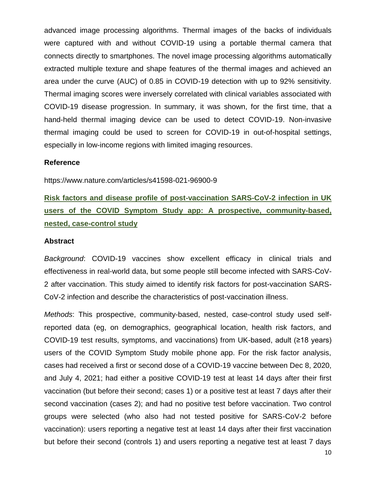advanced image processing algorithms. Thermal images of the backs of individuals were captured with and without COVID-19 using a portable thermal camera that connects directly to smartphones. The novel image processing algorithms automatically extracted multiple texture and shape features of the thermal images and achieved an area under the curve (AUC) of 0.85 in COVID-19 detection with up to 92% sensitivity. Thermal imaging scores were inversely correlated with clinical variables associated with COVID-19 disease progression. In summary, it was shown, for the first time, that a hand-held thermal imaging device can be used to detect COVID-19. Non-invasive thermal imaging could be used to screen for COVID-19 in out-of-hospital settings, especially in low-income regions with limited imaging resources.

#### **Reference**

https://www.nature.com/articles/s41598-021-96900-9

## **Risk factors and disease profile of post-vaccination SARS-CoV-2 infection in UK users of the COVID Symptom Study app: A prospective, community-based, nested, case-control study**

#### **Abstract**

*Background*: COVID-19 vaccines show excellent efficacy in clinical trials and effectiveness in real-world data, but some people still become infected with SARS-CoV-2 after vaccination. This study aimed to identify risk factors for post-vaccination SARS-CoV-2 infection and describe the characteristics of post-vaccination illness.

*Methods*: This prospective, community-based, nested, case-control study used selfreported data (eg, on demographics, geographical location, health risk factors, and COVID-19 test results, symptoms, and vaccinations) from UK-based, adult (≥18 years) users of the COVID Symptom Study mobile phone app. For the risk factor analysis, cases had received a first or second dose of a COVID-19 vaccine between Dec 8, 2020, and July 4, 2021; had either a positive COVID-19 test at least 14 days after their first vaccination (but before their second; cases 1) or a positive test at least 7 days after their second vaccination (cases 2); and had no positive test before vaccination. Two control groups were selected (who also had not tested positive for SARS-CoV-2 before vaccination): users reporting a negative test at least 14 days after their first vaccination but before their second (controls 1) and users reporting a negative test at least 7 days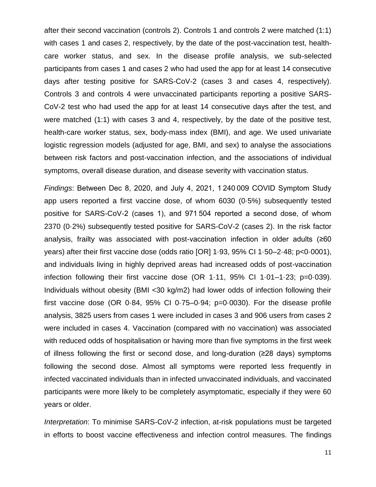after their second vaccination (controls 2). Controls 1 and controls 2 were matched (1:1) with cases 1 and cases 2, respectively, by the date of the post-vaccination test, healthcare worker status, and sex. In the disease profile analysis, we sub-selected participants from cases 1 and cases 2 who had used the app for at least 14 consecutive days after testing positive for SARS-CoV-2 (cases 3 and cases 4, respectively). Controls 3 and controls 4 were unvaccinated participants reporting a positive SARS-CoV-2 test who had used the app for at least 14 consecutive days after the test, and were matched (1:1) with cases 3 and 4, respectively, by the date of the positive test, health-care worker status, sex, body-mass index (BMI), and age. We used univariate logistic regression models (adjusted for age, BMI, and sex) to analyse the associations between risk factors and post-vaccination infection, and the associations of individual symptoms, overall disease duration, and disease severity with vaccination status.

*Findings*: Between Dec 8, 2020, and July 4, 2021, 1 240 009 COVID Symptom Study app users reported a first vaccine dose, of whom 6030 (0·5%) subsequently tested positive for SARS-CoV-2 (cases 1), and 971 504 reported a second dose, of whom 2370 (0·2%) subsequently tested positive for SARS-CoV-2 (cases 2). In the risk factor analysis, frailty was associated with post-vaccination infection in older adults (≥60 years) after their first vaccine dose (odds ratio [OR] 1·93, 95% CI 1·50–2·48; p<0·0001), and individuals living in highly deprived areas had increased odds of post-vaccination infection following their first vaccine dose (OR 1·11, 95% CI 1·01–1·23; p=0·039). Individuals without obesity (BMI <30 kg/m2) had lower odds of infection following their first vaccine dose (OR  $0.84$ ,  $95\%$  CI  $0.75-0.94$ ;  $p=0.0030$ ). For the disease profile analysis, 3825 users from cases 1 were included in cases 3 and 906 users from cases 2 were included in cases 4. Vaccination (compared with no vaccination) was associated with reduced odds of hospitalisation or having more than five symptoms in the first week of illness following the first or second dose, and long-duration (≥28 days) symptoms following the second dose. Almost all symptoms were reported less frequently in infected vaccinated individuals than in infected unvaccinated individuals, and vaccinated participants were more likely to be completely asymptomatic, especially if they were 60 years or older.

*Interpretation*: To minimise SARS-CoV-2 infection, at-risk populations must be targeted in efforts to boost vaccine effectiveness and infection control measures. The findings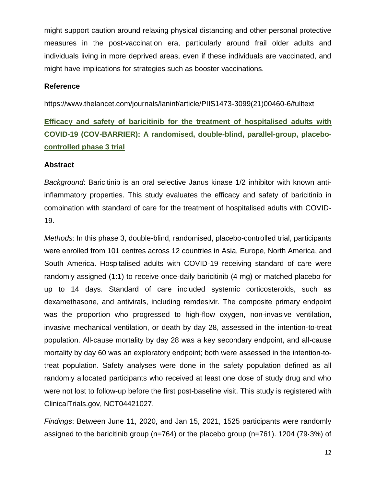might support caution around relaxing physical distancing and other personal protective measures in the post-vaccination era, particularly around frail older adults and individuals living in more deprived areas, even if these individuals are vaccinated, and might have implications for strategies such as booster vaccinations.

### **Reference**

https://www.thelancet.com/journals/laninf/article/PIIS1473-3099(21)00460-6/fulltext

## **Efficacy and safety of baricitinib for the treatment of hospitalised adults with COVID-19 (COV-BARRIER): A randomised, double-blind, parallel-group, placebocontrolled phase 3 trial**

### **Abstract**

*Background*: Baricitinib is an oral selective Janus kinase 1/2 inhibitor with known antiinflammatory properties. This study evaluates the efficacy and safety of baricitinib in combination with standard of care for the treatment of hospitalised adults with COVID-19.

*Methods*: In this phase 3, double-blind, randomised, placebo-controlled trial, participants were enrolled from 101 centres across 12 countries in Asia, Europe, North America, and South America. Hospitalised adults with COVID-19 receiving standard of care were randomly assigned (1:1) to receive once-daily baricitinib (4 mg) or matched placebo for up to 14 days. Standard of care included systemic corticosteroids, such as dexamethasone, and antivirals, including remdesivir. The composite primary endpoint was the proportion who progressed to high-flow oxygen, non-invasive ventilation, invasive mechanical ventilation, or death by day 28, assessed in the intention-to-treat population. All-cause mortality by day 28 was a key secondary endpoint, and all-cause mortality by day 60 was an exploratory endpoint; both were assessed in the intention-totreat population. Safety analyses were done in the safety population defined as all randomly allocated participants who received at least one dose of study drug and who were not lost to follow-up before the first post-baseline visit. This study is registered with ClinicalTrials.gov, NCT04421027.

*Findings*: Between June 11, 2020, and Jan 15, 2021, 1525 participants were randomly assigned to the baricitinib group (n=764) or the placebo group (n=761). 1204 (79·3%) of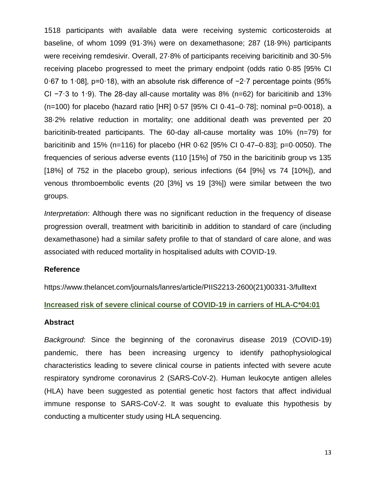1518 participants with available data were receiving systemic corticosteroids at baseline, of whom 1099 (91·3%) were on dexamethasone; 287 (18·9%) participants were receiving remdesivir. Overall, 27·8% of participants receiving baricitinib and 30·5% receiving placebo progressed to meet the primary endpoint (odds ratio 0·85 [95% CI 0·67 to 1·08], p=0·18), with an absolute risk difference of −2·7 percentage points (95% CI −7·3 to 1·9). The 28-day all-cause mortality was 8% (n=62) for baricitinib and 13% (n=100) for placebo (hazard ratio [HR] 0·57 [95% CI 0·41–0·78]; nominal p=0·0018), a 38·2% relative reduction in mortality; one additional death was prevented per 20 baricitinib-treated participants. The 60-day all-cause mortality was 10% (n=79) for baricitinib and 15% (n=116) for placebo (HR 0·62 [95% CI 0·47–0·83]; p=0·0050). The frequencies of serious adverse events (110 [15%] of 750 in the baricitinib group vs 135 [18%] of 752 in the placebo group), serious infections (64 [9%] vs 74 [10%]), and venous thromboembolic events (20 [3%] vs 19 [3%]) were similar between the two groups.

*Interpretation*: Although there was no significant reduction in the frequency of disease progression overall, treatment with baricitinib in addition to standard of care (including dexamethasone) had a similar safety profile to that of standard of care alone, and was associated with reduced mortality in hospitalised adults with COVID-19.

### **Reference**

https://www.thelancet.com/journals/lanres/article/PIIS2213-2600(21)00331-3/fulltext

**Increased risk of severe clinical course of COVID-19 in carriers of HLA-C\*04:01**

#### **Abstract**

*Background*: Since the beginning of the coronavirus disease 2019 (COVID-19) pandemic, there has been increasing urgency to identify pathophysiological characteristics leading to severe clinical course in patients infected with severe acute respiratory syndrome coronavirus 2 (SARS-CoV-2). Human leukocyte antigen alleles (HLA) have been suggested as potential genetic host factors that affect individual immune response to SARS-CoV-2. It was sought to evaluate this hypothesis by conducting a multicenter study using HLA sequencing.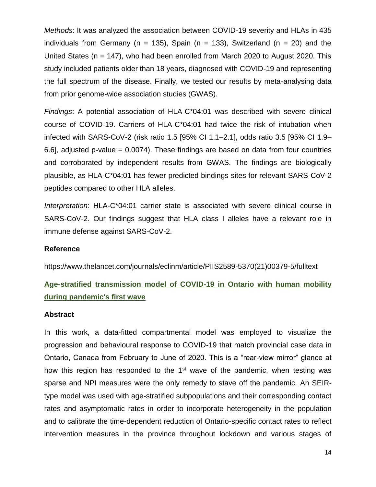*Methods*: It was analyzed the association between COVID-19 severity and HLAs in 435 individuals from Germany (n = 135), Spain (n = 133), Switzerland (n = 20) and the United States (n = 147), who had been enrolled from March 2020 to August 2020. This study included patients older than 18 years, diagnosed with COVID-19 and representing the full spectrum of the disease. Finally, we tested our results by meta-analysing data from prior genome-wide association studies (GWAS).

*Findings*: A potential association of HLA-C\*04:01 was described with severe clinical course of COVID-19. Carriers of HLA-C\*04:01 had twice the risk of intubation when infected with SARS-CoV-2 (risk ratio 1.5 [95% CI 1.1–2.1], odds ratio 3.5 [95% CI 1.9– 6.6], adjusted p-value =  $0.0074$ ). These findings are based on data from four countries and corroborated by independent results from GWAS. The findings are biologically plausible, as HLA-C\*04:01 has fewer predicted bindings sites for relevant SARS-CoV-2 peptides compared to other HLA alleles.

*Interpretation*: HLA-C\*04:01 carrier state is associated with severe clinical course in SARS-CoV-2. Our findings suggest that HLA class I alleles have a relevant role in immune defense against SARS-CoV-2.

### **Reference**

https://www.thelancet.com/journals/eclinm/article/PIIS2589-5370(21)00379-5/fulltext

## **Age-stratified transmission model of COVID-19 in Ontario with human mobility during pandemic's first wave**

### **Abstract**

In this work, a data-fitted compartmental model was employed to visualize the progression and behavioural response to COVID-19 that match provincial case data in Ontario, Canada from February to June of 2020. This is a "rear-view mirror" glance at how this region has responded to the 1<sup>st</sup> wave of the pandemic, when testing was sparse and NPI measures were the only remedy to stave off the pandemic. An SEIRtype model was used with age-stratified subpopulations and their corresponding contact rates and asymptomatic rates in order to incorporate heterogeneity in the population and to calibrate the time-dependent reduction of Ontario-specific contact rates to reflect intervention measures in the province throughout lockdown and various stages of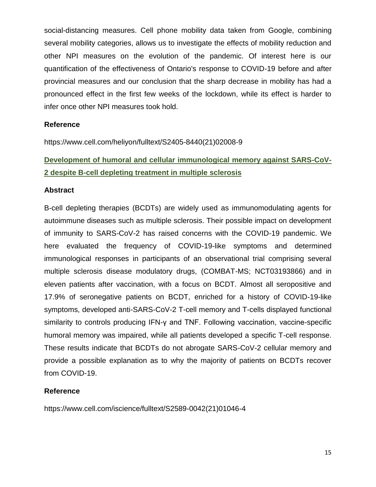social-distancing measures. Cell phone mobility data taken from Google, combining several mobility categories, allows us to investigate the effects of mobility reduction and other NPI measures on the evolution of the pandemic. Of interest here is our quantification of the effectiveness of Ontario's response to COVID-19 before and after provincial measures and our conclusion that the sharp decrease in mobility has had a pronounced effect in the first few weeks of the lockdown, while its effect is harder to infer once other NPI measures took hold.

### **Reference**

https://www.cell.com/heliyon/fulltext/S2405-8440(21)02008-9

## **Development of humoral and cellular immunological memory against SARS-CoV-2 despite B-cell depleting treatment in multiple sclerosis**

### **Abstract**

B-cell depleting therapies (BCDTs) are widely used as immunomodulating agents for autoimmune diseases such as multiple sclerosis. Their possible impact on development of immunity to SARS-CoV-2 has raised concerns with the COVID-19 pandemic. We here evaluated the frequency of COVID-19-like symptoms and determined immunological responses in participants of an observational trial comprising several multiple sclerosis disease modulatory drugs, (COMBAT-MS; NCT03193866) and in eleven patients after vaccination, with a focus on BCDT. Almost all seropositive and 17.9% of seronegative patients on BCDT, enriched for a history of COVID-19-like symptoms, developed anti-SARS-CoV-2 T-cell memory and T-cells displayed functional similarity to controls producing IFN-γ and TNF. Following vaccination, vaccine-specific humoral memory was impaired, while all patients developed a specific T-cell response. These results indicate that BCDTs do not abrogate SARS-CoV-2 cellular memory and provide a possible explanation as to why the majority of patients on BCDTs recover from COVID-19.

## **Reference**

https://www.cell.com/iscience/fulltext/S2589-0042(21)01046-4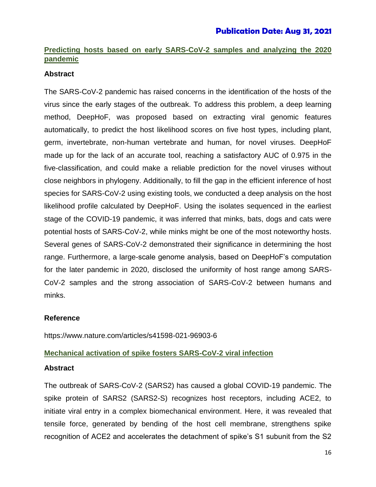## **Predicting hosts based on early SARS-CoV-2 samples and analyzing the 2020 pandemic**

## **Abstract**

The SARS-CoV-2 pandemic has raised concerns in the identification of the hosts of the virus since the early stages of the outbreak. To address this problem, a deep learning method, DeepHoF, was proposed based on extracting viral genomic features automatically, to predict the host likelihood scores on five host types, including plant, germ, invertebrate, non-human vertebrate and human, for novel viruses. DeepHoF made up for the lack of an accurate tool, reaching a satisfactory AUC of 0.975 in the five-classification, and could make a reliable prediction for the novel viruses without close neighbors in phylogeny. Additionally, to fill the gap in the efficient inference of host species for SARS-CoV-2 using existing tools, we conducted a deep analysis on the host likelihood profile calculated by DeepHoF. Using the isolates sequenced in the earliest stage of the COVID-19 pandemic, it was inferred that minks, bats, dogs and cats were potential hosts of SARS-CoV-2, while minks might be one of the most noteworthy hosts. Several genes of SARS-CoV-2 demonstrated their significance in determining the host range. Furthermore, a large-scale genome analysis, based on DeepHoF's computation for the later pandemic in 2020, disclosed the uniformity of host range among SARS-CoV-2 samples and the strong association of SARS-CoV-2 between humans and minks.

## **Reference**

https://www.nature.com/articles/s41598-021-96903-6

## **Mechanical activation of spike fosters SARS-CoV-2 viral infection**

## **Abstract**

The outbreak of SARS-CoV-2 (SARS2) has caused a global COVID-19 pandemic. The spike protein of SARS2 (SARS2-S) recognizes host receptors, including ACE2, to initiate viral entry in a complex biomechanical environment. Here, it was revealed that tensile force, generated by bending of the host cell membrane, strengthens spike recognition of ACE2 and accelerates the detachment of spike's S1 subunit from the S2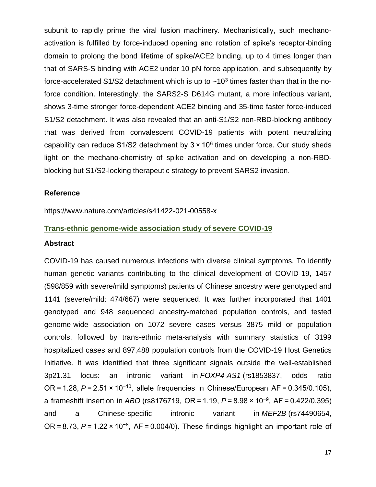subunit to rapidly prime the viral fusion machinery. Mechanistically, such mechanoactivation is fulfilled by force-induced opening and rotation of spike's receptor-binding domain to prolong the bond lifetime of spike/ACE2 binding, up to 4 times longer than that of SARS-S binding with ACE2 under 10 pN force application, and subsequently by force-accelerated S1/S2 detachment which is up to  $\sim$ 10<sup>3</sup> times faster than that in the noforce condition. Interestingly, the SARS2-S D614G mutant, a more infectious variant, shows 3-time stronger force-dependent ACE2 binding and 35-time faster force-induced S1/S2 detachment. It was also revealed that an anti-S1/S2 non-RBD-blocking antibody that was derived from convalescent COVID-19 patients with potent neutralizing capability can reduce  $S1/S2$  detachment by  $3 \times 10^6$  times under force. Our study sheds light on the mechano-chemistry of spike activation and on developing a non-RBDblocking but S1/S2-locking therapeutic strategy to prevent SARS2 invasion.

### **Reference**

https://www.nature.com/articles/s41422-021-00558-x

### **Trans-ethnic genome-wide association study of severe COVID-19**

#### **Abstract**

COVID-19 has caused numerous infections with diverse clinical symptoms. To identify human genetic variants contributing to the clinical development of COVID-19, 1457 (598/859 with severe/mild symptoms) patients of Chinese ancestry were genotyped and 1141 (severe/mild: 474/667) were sequenced. It was further incorporated that 1401 genotyped and 948 sequenced ancestry-matched population controls, and tested genome-wide association on 1072 severe cases versus 3875 mild or population controls, followed by trans-ethnic meta-analysis with summary statistics of 3199 hospitalized cases and 897,488 population controls from the COVID-19 Host Genetics Initiative. It was identified that three significant signals outside the well-established 3p21.31 locus: an intronic variant in *FOXP4-AS1* (rs1853837, odds ratio OR = 1.28, *P* = 2.51 × 10−10, allele frequencies in Chinese/European AF = 0.345/0.105), a frameshift insertion in *ABO* (rs8176719, OR = 1.19, *P* = 8.98 × 10−9, AF = 0.422/0.395) and a Chinese-specific intronic variant in *MEF2B* (rs74490654, OR = 8.73, *P* = 1.22 × 10−8, AF = 0.004/0). These findings highlight an important role of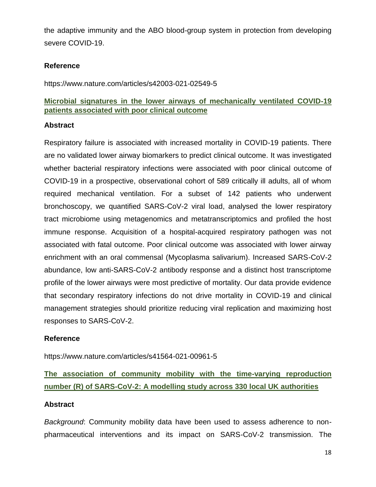the adaptive immunity and the ABO blood-group system in protection from developing severe COVID-19.

## **Reference**

https://www.nature.com/articles/s42003-021-02549-5

## **Microbial signatures in the lower airways of mechanically ventilated COVID-19 patients associated with poor clinical outcome**

### **Abstract**

Respiratory failure is associated with increased mortality in COVID-19 patients. There are no validated lower airway biomarkers to predict clinical outcome. It was investigated whether bacterial respiratory infections were associated with poor clinical outcome of COVID-19 in a prospective, observational cohort of 589 critically ill adults, all of whom required mechanical ventilation. For a subset of 142 patients who underwent bronchoscopy, we quantified SARS-CoV-2 viral load, analysed the lower respiratory tract microbiome using metagenomics and metatranscriptomics and profiled the host immune response. Acquisition of a hospital-acquired respiratory pathogen was not associated with fatal outcome. Poor clinical outcome was associated with lower airway enrichment with an oral commensal (Mycoplasma salivarium). Increased SARS-CoV-2 abundance, low anti-SARS-CoV-2 antibody response and a distinct host transcriptome profile of the lower airways were most predictive of mortality. Our data provide evidence that secondary respiratory infections do not drive mortality in COVID-19 and clinical management strategies should prioritize reducing viral replication and maximizing host responses to SARS-CoV-2.

## **Reference**

https://www.nature.com/articles/s41564-021-00961-5

## **The association of community mobility with the time-varying reproduction number (R) of SARS-CoV-2: A modelling study across 330 local UK authorities**

## **Abstract**

*Background*: Community mobility data have been used to assess adherence to nonpharmaceutical interventions and its impact on SARS-CoV-2 transmission. The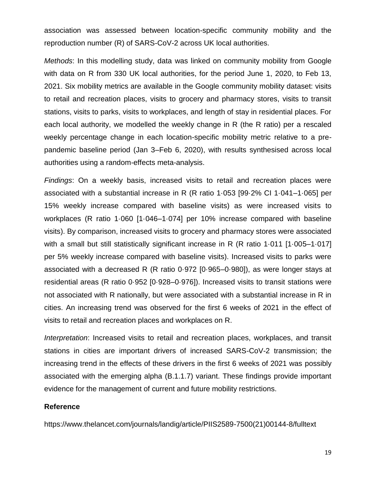association was assessed between location-specific community mobility and the reproduction number (R) of SARS-CoV-2 across UK local authorities.

*Methods*: In this modelling study, data was linked on community mobility from Google with data on R from 330 UK local authorities, for the period June 1, 2020, to Feb 13, 2021. Six mobility metrics are available in the Google community mobility dataset: visits to retail and recreation places, visits to grocery and pharmacy stores, visits to transit stations, visits to parks, visits to workplaces, and length of stay in residential places. For each local authority, we modelled the weekly change in R (the R ratio) per a rescaled weekly percentage change in each location-specific mobility metric relative to a prepandemic baseline period (Jan 3–Feb 6, 2020), with results synthesised across local authorities using a random-effects meta-analysis.

*Findings*: On a weekly basis, increased visits to retail and recreation places were associated with a substantial increase in R (R ratio 1·053 [99·2% CI 1·041–1·065] per 15% weekly increase compared with baseline visits) as were increased visits to workplaces (R ratio 1·060 [1·046–1·074] per 10% increase compared with baseline visits). By comparison, increased visits to grocery and pharmacy stores were associated with a small but still statistically significant increase in R (R ratio 1·011 [1·005–1·017] per 5% weekly increase compared with baseline visits). Increased visits to parks were associated with a decreased R (R ratio 0·972 [0·965–0·980]), as were longer stays at residential areas (R ratio 0·952 [0·928–0·976]). Increased visits to transit stations were not associated with R nationally, but were associated with a substantial increase in R in cities. An increasing trend was observed for the first 6 weeks of 2021 in the effect of visits to retail and recreation places and workplaces on R.

*Interpretation*: Increased visits to retail and recreation places, workplaces, and transit stations in cities are important drivers of increased SARS-CoV-2 transmission; the increasing trend in the effects of these drivers in the first 6 weeks of 2021 was possibly associated with the emerging alpha (B.1.1.7) variant. These findings provide important evidence for the management of current and future mobility restrictions.

### **Reference**

https://www.thelancet.com/journals/landig/article/PIIS2589-7500(21)00144-8/fulltext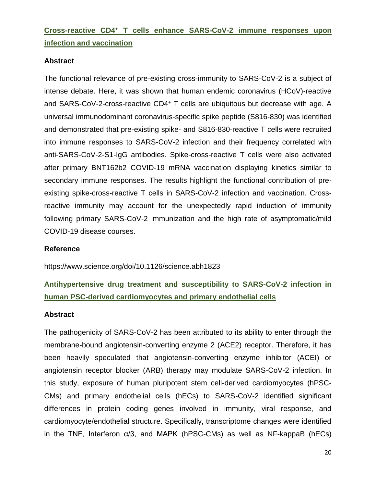## **Cross-reactive CD4<sup>+</sup> T cells enhance SARS-CoV-2 immune responses upon infection and vaccination**

## **Abstract**

The functional relevance of pre-existing cross-immunity to SARS-CoV-2 is a subject of intense debate. Here, it was shown that human endemic coronavirus (HCoV)-reactive and SARS-CoV-2-cross-reactive CD4<sup>+</sup> T cells are ubiquitous but decrease with age. A universal immunodominant coronavirus-specific spike peptide (S816-830) was identified and demonstrated that pre-existing spike- and S816-830-reactive T cells were recruited into immune responses to SARS-CoV-2 infection and their frequency correlated with anti-SARS-CoV-2-S1-IgG antibodies. Spike-cross-reactive T cells were also activated after primary BNT162b2 COVID-19 mRNA vaccination displaying kinetics similar to secondary immune responses. The results highlight the functional contribution of preexisting spike-cross-reactive T cells in SARS-CoV-2 infection and vaccination. Crossreactive immunity may account for the unexpectedly rapid induction of immunity following primary SARS-CoV-2 immunization and the high rate of asymptomatic/mild COVID-19 disease courses.

## **Reference**

https://www.science.org/doi/10.1126/science.abh1823

## **Antihypertensive drug treatment and susceptibility to SARS-CoV-2 infection in human PSC-derived cardiomyocytes and primary endothelial cells**

## **Abstract**

The pathogenicity of SARS-CoV-2 has been attributed to its ability to enter through the membrane-bound angiotensin-converting enzyme 2 (ACE2) receptor. Therefore, it has been heavily speculated that angiotensin-converting enzyme inhibitor (ACEI) or angiotensin receptor blocker (ARB) therapy may modulate SARS-CoV-2 infection. In this study, exposure of human pluripotent stem cell-derived cardiomyocytes (hPSC-CMs) and primary endothelial cells (hECs) to SARS-CoV-2 identified significant differences in protein coding genes involved in immunity, viral response, and cardiomyocyte/endothelial structure. Specifically, transcriptome changes were identified in the TNF, Interferon α/β, and MAPK (hPSC-CMs) as well as NF-kappaB (hECs)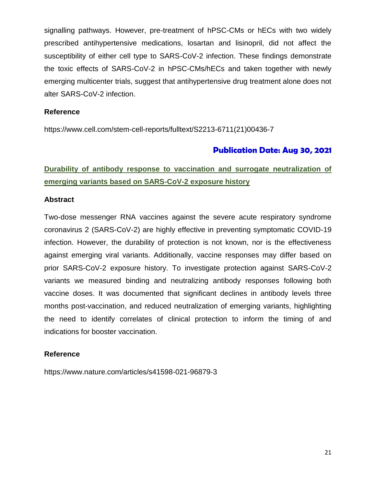signalling pathways. However, pre-treatment of hPSC-CMs or hECs with two widely prescribed antihypertensive medications, losartan and lisinopril, did not affect the susceptibility of either cell type to SARS-CoV-2 infection. These findings demonstrate the toxic effects of SARS-CoV-2 in hPSC-CMs/hECs and taken together with newly emerging multicenter trials, suggest that antihypertensive drug treatment alone does not alter SARS-CoV-2 infection.

## **Reference**

https://www.cell.com/stem-cell-reports/fulltext/S2213-6711(21)00436-7

## **Publication Date: Aug 30, 2021**

## **Durability of antibody response to vaccination and surrogate neutralization of emerging variants based on SARS-CoV-2 exposure history**

### **Abstract**

Two-dose messenger RNA vaccines against the severe acute respiratory syndrome coronavirus 2 (SARS-CoV-2) are highly effective in preventing symptomatic COVID-19 infection. However, the durability of protection is not known, nor is the effectiveness against emerging viral variants. Additionally, vaccine responses may differ based on prior SARS-CoV-2 exposure history. To investigate protection against SARS-CoV-2 variants we measured binding and neutralizing antibody responses following both vaccine doses. It was documented that significant declines in antibody levels three months post-vaccination, and reduced neutralization of emerging variants, highlighting the need to identify correlates of clinical protection to inform the timing of and indications for booster vaccination.

## **Reference**

https://www.nature.com/articles/s41598-021-96879-3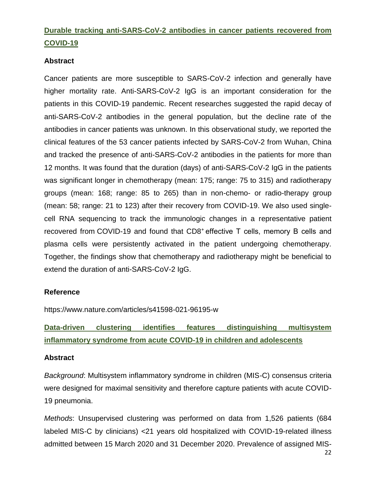## **Durable tracking anti-SARS-CoV-2 antibodies in cancer patients recovered from COVID-19**

## **Abstract**

Cancer patients are more susceptible to SARS-CoV-2 infection and generally have higher mortality rate. Anti-SARS-CoV-2 IgG is an important consideration for the patients in this COVID-19 pandemic. Recent researches suggested the rapid decay of anti-SARS-CoV-2 antibodies in the general population, but the decline rate of the antibodies in cancer patients was unknown. In this observational study, we reported the clinical features of the 53 cancer patients infected by SARS-CoV-2 from Wuhan, China and tracked the presence of anti-SARS-CoV-2 antibodies in the patients for more than 12 months. It was found that the duration (days) of anti-SARS-CoV-2 IgG in the patients was significant longer in chemotherapy (mean: 175; range: 75 to 315) and radiotherapy groups (mean: 168; range: 85 to 265) than in non-chemo- or radio-therapy group (mean: 58; range: 21 to 123) after their recovery from COVID-19. We also used singlecell RNA sequencing to track the immunologic changes in a representative patient recovered from COVID-19 and found that CD8<sup>+</sup> effective T cells, memory B cells and plasma cells were persistently activated in the patient undergoing chemotherapy. Together, the findings show that chemotherapy and radiotherapy might be beneficial to extend the duration of anti-SARS-CoV-2 IgG.

## **Reference**

https://www.nature.com/articles/s41598-021-96195-w

## **Data-driven clustering identifies features distinguishing multisystem inflammatory syndrome from acute COVID-19 in children and adolescents**

## **Abstract**

*Background*: Multisystem inflammatory syndrome in children (MIS-C) consensus criteria were designed for maximal sensitivity and therefore capture patients with acute COVID-19 pneumonia.

*Methods*: Unsupervised clustering was performed on data from 1,526 patients (684 labeled MIS-C by clinicians) <21 years old hospitalized with COVID-19-related illness admitted between 15 March 2020 and 31 December 2020. Prevalence of assigned MIS-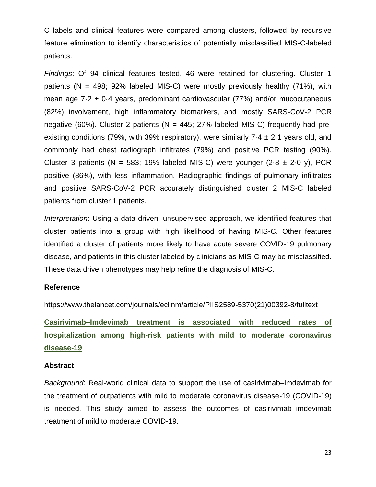C labels and clinical features were compared among clusters, followed by recursive feature elimination to identify characteristics of potentially misclassified MIS-C-labeled patients.

*Findings*: Of 94 clinical features tested, 46 were retained for clustering. Cluster 1 patients ( $N = 498$ ; 92% labeled MIS-C) were mostly previously healthy (71%), with mean age  $7.2 \pm 0.4$  years, predominant cardiovascular (77%) and/or mucocutaneous (82%) involvement, high inflammatory biomarkers, and mostly SARS-CoV-2 PCR negative (60%). Cluster 2 patients ( $N = 445$ ; 27% labeled MIS-C) frequently had preexisting conditions (79%, with 39% respiratory), were similarly 7.4  $\pm$  2.1 years old, and commonly had chest radiograph infiltrates (79%) and positive PCR testing (90%). Cluster 3 patients (N = 583; 19% labeled MIS-C) were younger (2.8  $\pm$  2.0 y), PCR positive (86%), with less inflammation. Radiographic findings of pulmonary infiltrates and positive SARS-CoV-2 PCR accurately distinguished cluster 2 MIS-C labeled patients from cluster 1 patients.

*Interpretation*: Using a data driven, unsupervised approach, we identified features that cluster patients into a group with high likelihood of having MIS-C. Other features identified a cluster of patients more likely to have acute severe COVID-19 pulmonary disease, and patients in this cluster labeled by clinicians as MIS-C may be misclassified. These data driven phenotypes may help refine the diagnosis of MIS-C.

### **Reference**

https://www.thelancet.com/journals/eclinm/article/PIIS2589-5370(21)00392-8/fulltext

**Casirivimab–Imdevimab treatment is associated with reduced rates of hospitalization among high-risk patients with mild to moderate coronavirus disease-19**

### **Abstract**

*Background*: Real-world clinical data to support the use of casirivimab–imdevimab for the treatment of outpatients with mild to moderate coronavirus disease-19 (COVID-19) is needed. This study aimed to assess the outcomes of casirivimab–imdevimab treatment of mild to moderate COVID-19.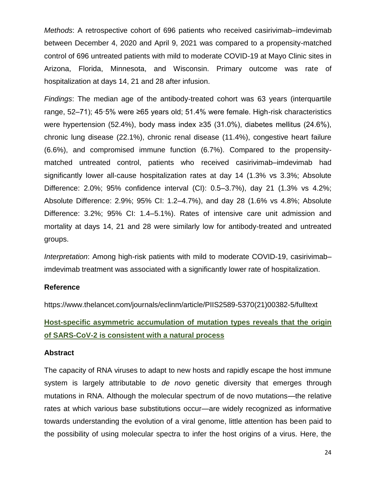*Methods*: A retrospective cohort of 696 patients who received casirivimab–imdevimab between December 4, 2020 and April 9, 2021 was compared to a propensity-matched control of 696 untreated patients with mild to moderate COVID-19 at Mayo Clinic sites in Arizona, Florida, Minnesota, and Wisconsin. Primary outcome was rate of hospitalization at days 14, 21 and 28 after infusion.

*Findings*: The median age of the antibody-treated cohort was 63 years (interquartile range, 52–71); 45·5% were ≥65 years old; 51.4% were female. High-risk characteristics were hypertension (52.4%), body mass index ≥35 (31.0%), diabetes mellitus (24.6%), chronic lung disease (22.1%), chronic renal disease (11.4%), congestive heart failure (6.6%), and compromised immune function (6.7%). Compared to the propensitymatched untreated control, patients who received casirivimab–imdevimab had significantly lower all-cause hospitalization rates at day 14 (1.3% vs 3.3%; Absolute Difference: 2.0%; 95% confidence interval (CI): 0.5–3.7%), day 21 (1.3% vs 4.2%; Absolute Difference: 2.9%; 95% CI: 1.2–4.7%), and day 28 (1.6% vs 4.8%; Absolute Difference: 3.2%; 95% CI: 1.4–5.1%). Rates of intensive care unit admission and mortality at days 14, 21 and 28 were similarly low for antibody-treated and untreated groups.

*Interpretation*: Among high-risk patients with mild to moderate COVID-19, casirivimab– imdevimab treatment was associated with a significantly lower rate of hospitalization.

### **Reference**

https://www.thelancet.com/journals/eclinm/article/PIIS2589-5370(21)00382-5/fulltext

## **Host-specific asymmetric accumulation of mutation types reveals that the origin of SARS-CoV-2 is consistent with a natural process**

### **Abstract**

The capacity of RNA viruses to adapt to new hosts and rapidly escape the host immune system is largely attributable to *de novo* genetic diversity that emerges through mutations in RNA. Although the molecular spectrum of de novo mutations—the relative rates at which various base substitutions occur—are widely recognized as informative towards understanding the evolution of a viral genome, little attention has been paid to the possibility of using molecular spectra to infer the host origins of a virus. Here, the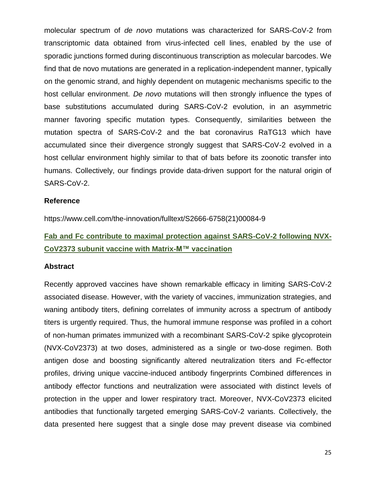molecular spectrum of *de novo* mutations was characterized for SARS-CoV-2 from transcriptomic data obtained from virus-infected cell lines, enabled by the use of sporadic junctions formed during discontinuous transcription as molecular barcodes. We find that de novo mutations are generated in a replication-independent manner, typically on the genomic strand, and highly dependent on mutagenic mechanisms specific to the host cellular environment. *De novo* mutations will then strongly influence the types of base substitutions accumulated during SARS-CoV-2 evolution, in an asymmetric manner favoring specific mutation types. Consequently, similarities between the mutation spectra of SARS-CoV-2 and the bat coronavirus RaTG13 which have accumulated since their divergence strongly suggest that SARS-CoV-2 evolved in a host cellular environment highly similar to that of bats before its zoonotic transfer into humans. Collectively, our findings provide data-driven support for the natural origin of SARS-CoV-2.

### **Reference**

https://www.cell.com/the-innovation/fulltext/S2666-6758(21)00084-9

## **Fab and Fc contribute to maximal protection against SARS-CoV-2 following NVX-CoV2373 subunit vaccine with Matrix-M™ vaccination**

#### **Abstract**

Recently approved vaccines have shown remarkable efficacy in limiting SARS-CoV-2 associated disease. However, with the variety of vaccines, immunization strategies, and waning antibody titers, defining correlates of immunity across a spectrum of antibody titers is urgently required. Thus, the humoral immune response was profiled in a cohort of non-human primates immunized with a recombinant SARS-CoV-2 spike glycoprotein (NVX-CoV2373) at two doses, administered as a single or two-dose regimen. Both antigen dose and boosting significantly altered neutralization titers and Fc-effector profiles, driving unique vaccine-induced antibody fingerprints Combined differences in antibody effector functions and neutralization were associated with distinct levels of protection in the upper and lower respiratory tract. Moreover, NVX-CoV2373 elicited antibodies that functionally targeted emerging SARS-CoV-2 variants. Collectively, the data presented here suggest that a single dose may prevent disease via combined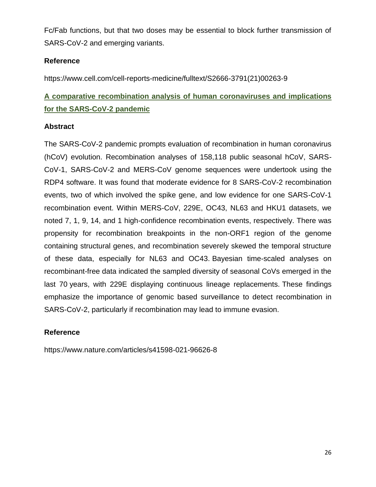Fc/Fab functions, but that two doses may be essential to block further transmission of SARS-CoV-2 and emerging variants.

## **Reference**

https://www.cell.com/cell-reports-medicine/fulltext/S2666-3791(21)00263-9

## **A comparative recombination analysis of human coronaviruses and implications for the SARS-CoV-2 pandemic**

## **Abstract**

The SARS-CoV-2 pandemic prompts evaluation of recombination in human coronavirus (hCoV) evolution. Recombination analyses of 158,118 public seasonal hCoV, SARS-CoV-1, SARS-CoV-2 and MERS-CoV genome sequences were undertook using the RDP4 software. It was found that moderate evidence for 8 SARS-CoV-2 recombination events, two of which involved the spike gene, and low evidence for one SARS-CoV-1 recombination event. Within MERS-CoV, 229E, OC43, NL63 and HKU1 datasets, we noted 7, 1, 9, 14, and 1 high-confidence recombination events, respectively. There was propensity for recombination breakpoints in the non-ORF1 region of the genome containing structural genes, and recombination severely skewed the temporal structure of these data, especially for NL63 and OC43. Bayesian time-scaled analyses on recombinant-free data indicated the sampled diversity of seasonal CoVs emerged in the last 70 years, with 229E displaying continuous lineage replacements. These findings emphasize the importance of genomic based surveillance to detect recombination in SARS-CoV-2, particularly if recombination may lead to immune evasion.

## **Reference**

https://www.nature.com/articles/s41598-021-96626-8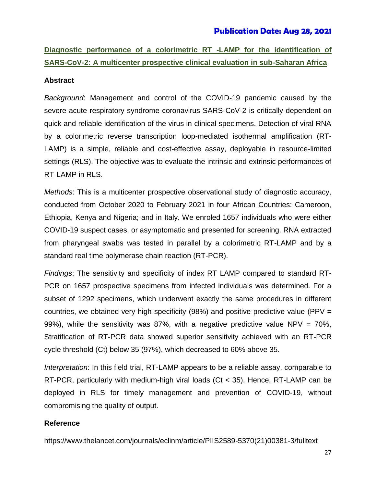## **Publication Date: Aug 28, 2021**

**Diagnostic performance of a colorimetric RT -LAMP for the identification of SARS-CoV-2: A multicenter prospective clinical evaluation in sub-Saharan Africa**

#### **Abstract**

*Background*: Management and control of the COVID-19 pandemic caused by the severe acute respiratory syndrome coronavirus SARS-CoV-2 is critically dependent on quick and reliable identification of the virus in clinical specimens. Detection of viral RNA by a colorimetric reverse transcription loop-mediated isothermal amplification (RT-LAMP) is a simple, reliable and cost-effective assay, deployable in resource-limited settings (RLS). The objective was to evaluate the intrinsic and extrinsic performances of RT-LAMP in RLS.

*Methods*: This is a multicenter prospective observational study of diagnostic accuracy, conducted from October 2020 to February 2021 in four African Countries: Cameroon, Ethiopia, Kenya and Nigeria; and in Italy. We enroled 1657 individuals who were either COVID-19 suspect cases, or asymptomatic and presented for screening. RNA extracted from pharyngeal swabs was tested in parallel by a colorimetric RT-LAMP and by a standard real time polymerase chain reaction (RT-PCR).

*Findings*: The sensitivity and specificity of index RT LAMP compared to standard RT-PCR on 1657 prospective specimens from infected individuals was determined. For a subset of 1292 specimens, which underwent exactly the same procedures in different countries, we obtained very high specificity (98%) and positive predictive value (PPV = 99%), while the sensitivity was 87%, with a negative predictive value NPV =  $70\%$ , Stratification of RT-PCR data showed superior sensitivity achieved with an RT-PCR cycle threshold (Ct) below 35 (97%), which decreased to 60% above 35.

*Interpretation*: In this field trial, RT-LAMP appears to be a reliable assay, comparable to RT-PCR, particularly with medium-high viral loads (Ct < 35). Hence, RT-LAMP can be deployed in RLS for timely management and prevention of COVID-19, without compromising the quality of output.

### **Reference**

https://www.thelancet.com/journals/eclinm/article/PIIS2589-5370(21)00381-3/fulltext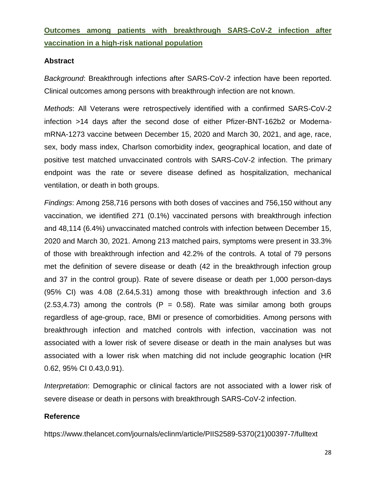**Outcomes among patients with breakthrough SARS-CoV-2 infection after vaccination in a high-risk national population**

### **Abstract**

*Background*: Breakthrough infections after SARS-CoV-2 infection have been reported. Clinical outcomes among persons with breakthrough infection are not known.

*Methods*: All Veterans were retrospectively identified with a confirmed SARS-CoV-2 infection >14 days after the second dose of either Pfizer-BNT-162b2 or ModernamRNA-1273 vaccine between December 15, 2020 and March 30, 2021, and age, race, sex, body mass index, Charlson comorbidity index, geographical location, and date of positive test matched unvaccinated controls with SARS-CoV-2 infection. The primary endpoint was the rate or severe disease defined as hospitalization, mechanical ventilation, or death in both groups.

*Findings*: Among 258,716 persons with both doses of vaccines and 756,150 without any vaccination, we identified 271 (0.1%) vaccinated persons with breakthrough infection and 48,114 (6.4%) unvaccinated matched controls with infection between December 15, 2020 and March 30, 2021. Among 213 matched pairs, symptoms were present in 33.3% of those with breakthrough infection and 42.2% of the controls. A total of 79 persons met the definition of severe disease or death (42 in the breakthrough infection group and 37 in the control group). Rate of severe disease or death per 1,000 person-days (95% CI) was 4.08 (2.64,5.31) among those with breakthrough infection and 3.6  $(2.53, 4.73)$  among the controls  $(P = 0.58)$ . Rate was similar among both groups regardless of age-group, race, BMI or presence of comorbidities. Among persons with breakthrough infection and matched controls with infection, vaccination was not associated with a lower risk of severe disease or death in the main analyses but was associated with a lower risk when matching did not include geographic location (HR 0.62, 95% CI 0.43,0.91).

*Interpretation*: Demographic or clinical factors are not associated with a lower risk of severe disease or death in persons with breakthrough SARS-CoV-2 infection.

### **Reference**

https://www.thelancet.com/journals/eclinm/article/PIIS2589-5370(21)00397-7/fulltext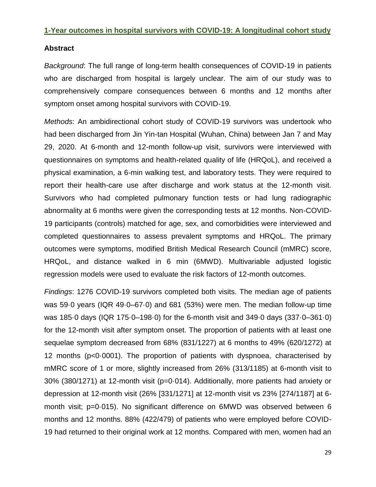### **1-Year outcomes in hospital survivors with COVID-19: A longitudinal cohort study**

## **Abstract**

*Background*: The full range of long-term health consequences of COVID-19 in patients who are discharged from hospital is largely unclear. The aim of our study was to comprehensively compare consequences between 6 months and 12 months after symptom onset among hospital survivors with COVID-19.

*Methods*: An ambidirectional cohort study of COVID-19 survivors was undertook who had been discharged from Jin Yin-tan Hospital (Wuhan, China) between Jan 7 and May 29, 2020. At 6-month and 12-month follow-up visit, survivors were interviewed with questionnaires on symptoms and health-related quality of life (HRQoL), and received a physical examination, a 6-min walking test, and laboratory tests. They were required to report their health-care use after discharge and work status at the 12-month visit. Survivors who had completed pulmonary function tests or had lung radiographic abnormality at 6 months were given the corresponding tests at 12 months. Non-COVID-19 participants (controls) matched for age, sex, and comorbidities were interviewed and completed questionnaires to assess prevalent symptoms and HRQoL. The primary outcomes were symptoms, modified British Medical Research Council (mMRC) score, HRQoL, and distance walked in 6 min (6MWD). Multivariable adjusted logistic regression models were used to evaluate the risk factors of 12-month outcomes.

*Findings*: 1276 COVID-19 survivors completed both visits. The median age of patients was 59·0 years (IQR 49·0–67·0) and 681 (53%) were men. The median follow-up time was 185·0 days (IQR 175·0–198·0) for the 6-month visit and 349·0 days (337·0–361·0) for the 12-month visit after symptom onset. The proportion of patients with at least one sequelae symptom decreased from 68% (831/1227) at 6 months to 49% (620/1272) at 12 months (p<0·0001). The proportion of patients with dyspnoea, characterised by mMRC score of 1 or more, slightly increased from 26% (313/1185) at 6-month visit to 30% (380/1271) at 12-month visit (p=0·014). Additionally, more patients had anxiety or depression at 12-month visit (26% [331/1271] at 12-month visit vs 23% [274/1187] at 6 month visit; p=0.015). No significant difference on 6MWD was observed between 6 months and 12 months. 88% (422/479) of patients who were employed before COVID-19 had returned to their original work at 12 months. Compared with men, women had an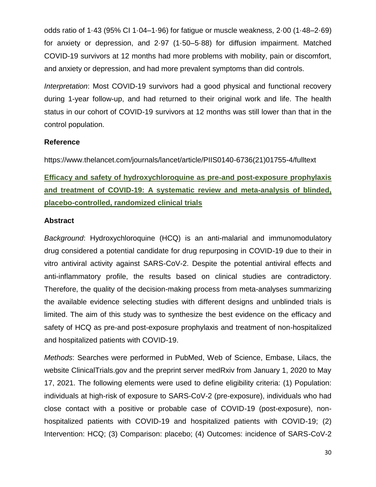odds ratio of 1·43 (95% CI 1·04–1·96) for fatigue or muscle weakness, 2·00 (1·48–2·69) for anxiety or depression, and 2·97 (1·50–5·88) for diffusion impairment. Matched COVID-19 survivors at 12 months had more problems with mobility, pain or discomfort, and anxiety or depression, and had more prevalent symptoms than did controls.

*Interpretation*: Most COVID-19 survivors had a good physical and functional recovery during 1-year follow-up, and had returned to their original work and life. The health status in our cohort of COVID-19 survivors at 12 months was still lower than that in the control population.

## **Reference**

https://www.thelancet.com/journals/lancet/article/PIIS0140-6736(21)01755-4/fulltext

**Efficacy and safety of hydroxychloroquine as pre-and post-exposure prophylaxis and treatment of COVID-19: A systematic review and meta-analysis of blinded, placebo-controlled, randomized clinical trials**

## **Abstract**

*Background*: Hydroxychloroquine (HCQ) is an anti-malarial and immunomodulatory drug considered a potential candidate for drug repurposing in COVID-19 due to their in vitro antiviral activity against SARS-CoV-2. Despite the potential antiviral effects and anti-inflammatory profile, the results based on clinical studies are contradictory. Therefore, the quality of the decision-making process from meta-analyses summarizing the available evidence selecting studies with different designs and unblinded trials is limited. The aim of this study was to synthesize the best evidence on the efficacy and safety of HCQ as pre-and post-exposure prophylaxis and treatment of non-hospitalized and hospitalized patients with COVID-19.

*Methods*: Searches were performed in PubMed, Web of Science, Embase, Lilacs, the website ClinicalTrials.gov and the preprint server medRxiv from January 1, 2020 to May 17, 2021. The following elements were used to define eligibility criteria: (1) Population: individuals at high-risk of exposure to SARS-CoV-2 (pre-exposure), individuals who had close contact with a positive or probable case of COVID-19 (post-exposure), nonhospitalized patients with COVID-19 and hospitalized patients with COVID-19; (2) Intervention: HCQ; (3) Comparison: placebo; (4) Outcomes: incidence of SARS-CoV-2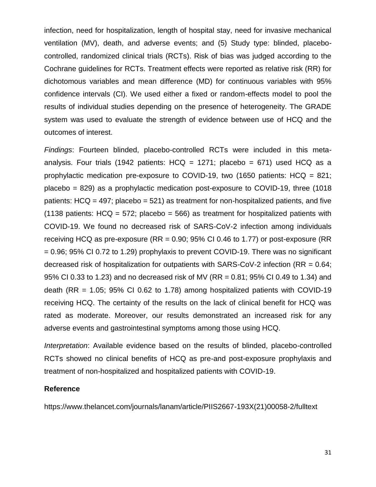infection, need for hospitalization, length of hospital stay, need for invasive mechanical ventilation (MV), death, and adverse events; and (5) Study type: blinded, placebocontrolled, randomized clinical trials (RCTs). Risk of bias was judged according to the Cochrane guidelines for RCTs. Treatment effects were reported as relative risk (RR) for dichotomous variables and mean difference (MD) for continuous variables with 95% confidence intervals (CI). We used either a fixed or random-effects model to pool the results of individual studies depending on the presence of heterogeneity. The GRADE system was used to evaluate the strength of evidence between use of HCQ and the outcomes of interest.

*Findings*: Fourteen blinded, placebo-controlled RCTs were included in this metaanalysis. Four trials (1942 patients:  $H CQ = 1271$ ; placebo = 671) used  $H CQ$  as a prophylactic medication pre-exposure to COVID-19, two (1650 patients: HCQ = 821; placebo = 829) as a prophylactic medication post-exposure to COVID-19, three (1018 patients:  $H C Q = 497$ ; placebo = 521) as treatment for non-hospitalized patients, and five (1138 patients:  $H CQ = 572$ ; placebo = 566) as treatment for hospitalized patients with COVID-19. We found no decreased risk of SARS-CoV-2 infection among individuals receiving HCQ as pre-exposure ( $RR = 0.90$ ; 95% CI 0.46 to 1.77) or post-exposure ( $RR$ ) = 0.96; 95% CI 0.72 to 1.29) prophylaxis to prevent COVID-19. There was no significant decreased risk of hospitalization for outpatients with SARS-CoV-2 infection (RR = 0.64; 95% CI 0.33 to 1.23) and no decreased risk of MV (RR = 0.81; 95% CI 0.49 to 1.34) and death (RR =  $1.05$ ; 95% CI 0.62 to 1.78) among hospitalized patients with COVID-19 receiving HCQ. The certainty of the results on the lack of clinical benefit for HCQ was rated as moderate. Moreover, our results demonstrated an increased risk for any adverse events and gastrointestinal symptoms among those using HCQ.

*Interpretation*: Available evidence based on the results of blinded, placebo-controlled RCTs showed no clinical benefits of HCQ as pre-and post-exposure prophylaxis and treatment of non-hospitalized and hospitalized patients with COVID-19.

### **Reference**

https://www.thelancet.com/journals/lanam/article/PIIS2667-193X(21)00058-2/fulltext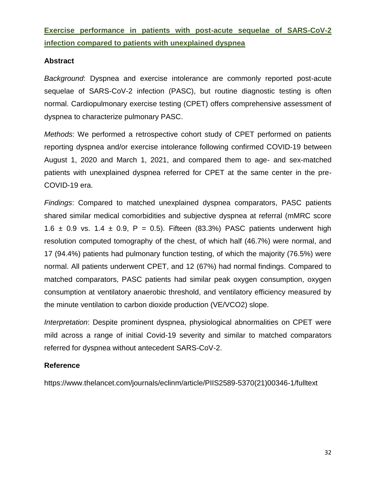**Exercise performance in patients with post-acute sequelae of SARS-CoV-2 infection compared to patients with unexplained dyspnea**

## **Abstract**

*Background*: Dyspnea and exercise intolerance are commonly reported post-acute sequelae of SARS-CoV-2 infection (PASC), but routine diagnostic testing is often normal. Cardiopulmonary exercise testing (CPET) offers comprehensive assessment of dyspnea to characterize pulmonary PASC.

*Methods*: We performed a retrospective cohort study of CPET performed on patients reporting dyspnea and/or exercise intolerance following confirmed COVID-19 between August 1, 2020 and March 1, 2021, and compared them to age- and sex-matched patients with unexplained dyspnea referred for CPET at the same center in the pre-COVID-19 era.

*Findings*: Compared to matched unexplained dyspnea comparators, PASC patients shared similar medical comorbidities and subjective dyspnea at referral (mMRC score 1.6  $\pm$  0.9 vs. 1.4  $\pm$  0.9, P = 0.5). Fifteen (83.3%) PASC patients underwent high resolution computed tomography of the chest, of which half (46.7%) were normal, and 17 (94.4%) patients had pulmonary function testing, of which the majority (76.5%) were normal. All patients underwent CPET, and 12 (67%) had normal findings. Compared to matched comparators, PASC patients had similar peak oxygen consumption, oxygen consumption at ventilatory anaerobic threshold, and ventilatory efficiency measured by the minute ventilation to carbon dioxide production (VE/VCO2) slope.

*Interpretation*: Despite prominent dyspnea, physiological abnormalities on CPET were mild across a range of initial Covid-19 severity and similar to matched comparators referred for dyspnea without antecedent SARS-CoV-2.

## **Reference**

https://www.thelancet.com/journals/eclinm/article/PIIS2589-5370(21)00346-1/fulltext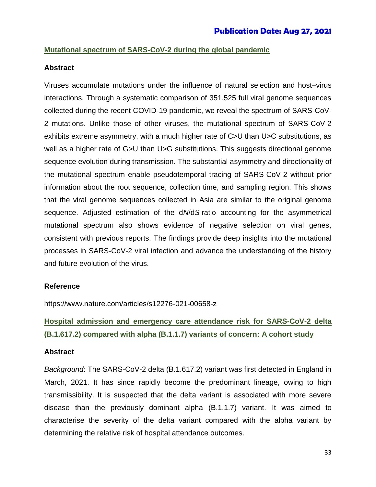## **Mutational spectrum of SARS-CoV-2 during the global pandemic**

### **Abstract**

Viruses accumulate mutations under the influence of natural selection and host–virus interactions. Through a systematic comparison of 351,525 full viral genome sequences collected during the recent COVID-19 pandemic, we reveal the spectrum of SARS-CoV-2 mutations. Unlike those of other viruses, the mutational spectrum of SARS-CoV-2 exhibits extreme asymmetry, with a much higher rate of C>U than U>C substitutions, as well as a higher rate of G>U than U>G substitutions. This suggests directional genome sequence evolution during transmission. The substantial asymmetry and directionality of the mutational spectrum enable pseudotemporal tracing of SARS-CoV-2 without prior information about the root sequence, collection time, and sampling region. This shows that the viral genome sequences collected in Asia are similar to the original genome sequence. Adjusted estimation of the d*N*/d*S* ratio accounting for the asymmetrical mutational spectrum also shows evidence of negative selection on viral genes, consistent with previous reports. The findings provide deep insights into the mutational processes in SARS-CoV-2 viral infection and advance the understanding of the history and future evolution of the virus.

## **Reference**

https://www.nature.com/articles/s12276-021-00658-z

## **Hospital admission and emergency care attendance risk for SARS-CoV-2 delta (B.1.617.2) compared with alpha (B.1.1.7) variants of concern: A cohort study**

### **Abstract**

*Background*: The SARS-CoV-2 delta (B.1.617.2) variant was first detected in England in March, 2021. It has since rapidly become the predominant lineage, owing to high transmissibility. It is suspected that the delta variant is associated with more severe disease than the previously dominant alpha (B.1.1.7) variant. It was aimed to characterise the severity of the delta variant compared with the alpha variant by determining the relative risk of hospital attendance outcomes.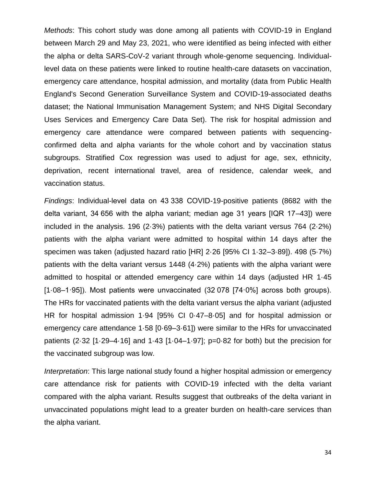*Methods*: This cohort study was done among all patients with COVID-19 in England between March 29 and May 23, 2021, who were identified as being infected with either the alpha or delta SARS-CoV-2 variant through whole-genome sequencing. Individuallevel data on these patients were linked to routine health-care datasets on vaccination, emergency care attendance, hospital admission, and mortality (data from Public Health England's Second Generation Surveillance System and COVID-19-associated deaths dataset; the National Immunisation Management System; and NHS Digital Secondary Uses Services and Emergency Care Data Set). The risk for hospital admission and emergency care attendance were compared between patients with sequencingconfirmed delta and alpha variants for the whole cohort and by vaccination status subgroups. Stratified Cox regression was used to adjust for age, sex, ethnicity, deprivation, recent international travel, area of residence, calendar week, and vaccination status.

*Findings*: Individual-level data on 43 338 COVID-19-positive patients (8682 with the delta variant, 34 656 with the alpha variant; median age 31 years [IQR 17–43]) were included in the analysis. 196 (2·3%) patients with the delta variant versus 764 (2·2%) patients with the alpha variant were admitted to hospital within 14 days after the specimen was taken (adjusted hazard ratio [HR] 2·26 [95% CI 1·32–3·89]). 498 (5·7%) patients with the delta variant versus 1448 (4·2%) patients with the alpha variant were admitted to hospital or attended emergency care within 14 days (adjusted HR 1·45 [1·08–1·95]). Most patients were unvaccinated (32 078 [74·0%] across both groups). The HRs for vaccinated patients with the delta variant versus the alpha variant (adjusted HR for hospital admission 1·94 [95% CI 0·47–8·05] and for hospital admission or emergency care attendance 1·58 [0·69–3·61]) were similar to the HRs for unvaccinated patients (2·32 [1·29–4·16] and 1·43 [1·04–1·97]; p=0·82 for both) but the precision for the vaccinated subgroup was low.

*Interpretation*: This large national study found a higher hospital admission or emergency care attendance risk for patients with COVID-19 infected with the delta variant compared with the alpha variant. Results suggest that outbreaks of the delta variant in unvaccinated populations might lead to a greater burden on health-care services than the alpha variant.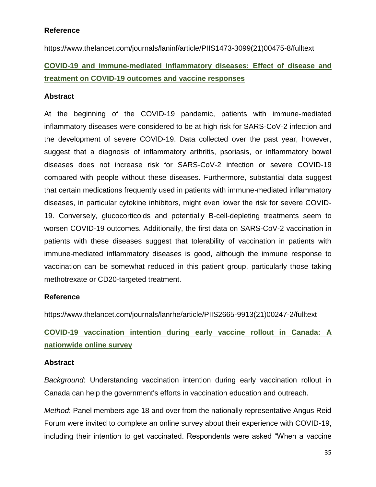https://www.thelancet.com/journals/laninf/article/PIIS1473-3099(21)00475-8/fulltext

## **COVID-19 and immune-mediated inflammatory diseases: Effect of disease and treatment on COVID-19 outcomes and vaccine responses**

## **Abstract**

At the beginning of the COVID-19 pandemic, patients with immune-mediated inflammatory diseases were considered to be at high risk for SARS-CoV-2 infection and the development of severe COVID-19. Data collected over the past year, however, suggest that a diagnosis of inflammatory arthritis, psoriasis, or inflammatory bowel diseases does not increase risk for SARS-CoV-2 infection or severe COVID-19 compared with people without these diseases. Furthermore, substantial data suggest that certain medications frequently used in patients with immune-mediated inflammatory diseases, in particular cytokine inhibitors, might even lower the risk for severe COVID-19. Conversely, glucocorticoids and potentially B-cell-depleting treatments seem to worsen COVID-19 outcomes. Additionally, the first data on SARS-CoV-2 vaccination in patients with these diseases suggest that tolerability of vaccination in patients with immune-mediated inflammatory diseases is good, although the immune response to vaccination can be somewhat reduced in this patient group, particularly those taking methotrexate or CD20-targeted treatment.

## **Reference**

https://www.thelancet.com/journals/lanrhe/article/PIIS2665-9913(21)00247-2/fulltext

## **COVID-19 vaccination intention during early vaccine rollout in Canada: A nationwide online survey**

## **Abstract**

*Background*: Understanding vaccination intention during early vaccination rollout in Canada can help the government's efforts in vaccination education and outreach.

*Method*: Panel members age 18 and over from the nationally representative Angus Reid Forum were invited to complete an online survey about their experience with COVID-19, including their intention to get vaccinated. Respondents were asked "When a vaccine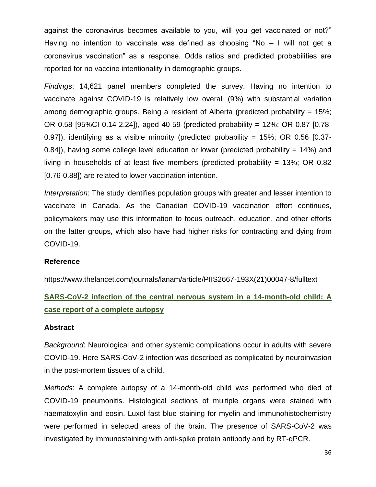against the coronavirus becomes available to you, will you get vaccinated or not?" Having no intention to vaccinate was defined as choosing "No – I will not get a coronavirus vaccination" as a response. Odds ratios and predicted probabilities are reported for no vaccine intentionality in demographic groups.

*Findings*: 14,621 panel members completed the survey. Having no intention to vaccinate against COVID-19 is relatively low overall (9%) with substantial variation among demographic groups. Being a resident of Alberta (predicted probability = 15%; OR 0.58 [95%CI 0.14-2.24]), aged 40-59 (predicted probability = 12%; OR 0.87 [0.78- 0.97]), identifying as a visible minority (predicted probability =  $15\%$ ; OR 0.56 [0.37-0.84]), having some college level education or lower (predicted probability  $= 14\%$ ) and living in households of at least five members (predicted probability =  $13\%$ ; OR 0.82 [0.76-0.88]) are related to lower vaccination intention.

*Interpretation*: The study identifies population groups with greater and lesser intention to vaccinate in Canada. As the Canadian COVID-19 vaccination effort continues, policymakers may use this information to focus outreach, education, and other efforts on the latter groups, which also have had higher risks for contracting and dying from COVID-19.

## **Reference**

https://www.thelancet.com/journals/lanam/article/PIIS2667-193X(21)00047-8/fulltext

## **SARS-CoV-2 infection of the central nervous system in a 14-month-old child: A case report of a complete autopsy**

### **Abstract**

*Background*: Neurological and other systemic complications occur in adults with severe COVID-19. Here SARS-CoV-2 infection was described as complicated by neuroinvasion in the post-mortem tissues of a child.

*Methods*: A complete autopsy of a 14-month-old child was performed who died of COVID-19 pneumonitis. Histological sections of multiple organs were stained with haematoxylin and eosin. Luxol fast blue staining for myelin and immunohistochemistry were performed in selected areas of the brain. The presence of SARS-CoV-2 was investigated by immunostaining with anti-spike protein antibody and by RT-qPCR.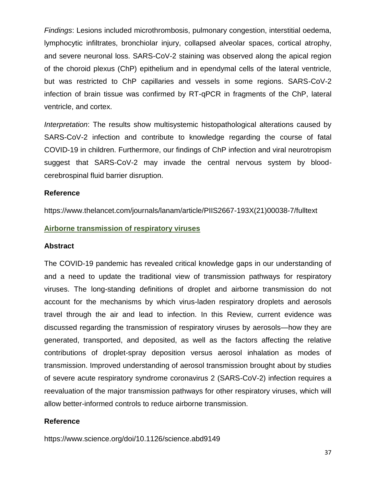*Findings*: Lesions included microthrombosis, pulmonary congestion, interstitial oedema, lymphocytic infiltrates, bronchiolar injury, collapsed alveolar spaces, cortical atrophy, and severe neuronal loss. SARS-CoV-2 staining was observed along the apical region of the choroid plexus (ChP) epithelium and in ependymal cells of the lateral ventricle, but was restricted to ChP capillaries and vessels in some regions. SARS-CoV-2 infection of brain tissue was confirmed by RT-qPCR in fragments of the ChP, lateral ventricle, and cortex.

*Interpretation*: The results show multisystemic histopathological alterations caused by SARS-CoV-2 infection and contribute to knowledge regarding the course of fatal COVID-19 in children. Furthermore, our findings of ChP infection and viral neurotropism suggest that SARS-CoV-2 may invade the central nervous system by bloodcerebrospinal fluid barrier disruption.

### **Reference**

https://www.thelancet.com/journals/lanam/article/PIIS2667-193X(21)00038-7/fulltext

### **Airborne transmission of respiratory viruses**

### **Abstract**

The COVID-19 pandemic has revealed critical knowledge gaps in our understanding of and a need to update the traditional view of transmission pathways for respiratory viruses. The long-standing definitions of droplet and airborne transmission do not account for the mechanisms by which virus-laden respiratory droplets and aerosols travel through the air and lead to infection. In this Review, current evidence was discussed regarding the transmission of respiratory viruses by aerosols—how they are generated, transported, and deposited, as well as the factors affecting the relative contributions of droplet-spray deposition versus aerosol inhalation as modes of transmission. Improved understanding of aerosol transmission brought about by studies of severe acute respiratory syndrome coronavirus 2 (SARS-CoV-2) infection requires a reevaluation of the major transmission pathways for other respiratory viruses, which will allow better-informed controls to reduce airborne transmission.

### **Reference**

https://www.science.org/doi/10.1126/science.abd9149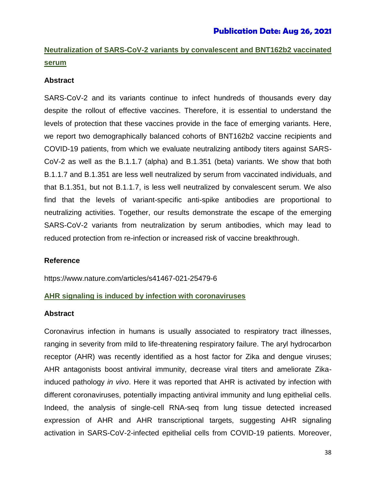## **Neutralization of SARS-CoV-2 variants by convalescent and BNT162b2 vaccinated serum**

## **Abstract**

SARS-CoV-2 and its variants continue to infect hundreds of thousands every day despite the rollout of effective vaccines. Therefore, it is essential to understand the levels of protection that these vaccines provide in the face of emerging variants. Here, we report two demographically balanced cohorts of BNT162b2 vaccine recipients and COVID-19 patients, from which we evaluate neutralizing antibody titers against SARS-CoV-2 as well as the B.1.1.7 (alpha) and B.1.351 (beta) variants. We show that both B.1.1.7 and B.1.351 are less well neutralized by serum from vaccinated individuals, and that B.1.351, but not B.1.1.7, is less well neutralized by convalescent serum. We also find that the levels of variant-specific anti-spike antibodies are proportional to neutralizing activities. Together, our results demonstrate the escape of the emerging SARS-CoV-2 variants from neutralization by serum antibodies, which may lead to reduced protection from re-infection or increased risk of vaccine breakthrough.

## **Reference**

https://www.nature.com/articles/s41467-021-25479-6

## **AHR signaling is induced by infection with coronaviruses**

### **Abstract**

Coronavirus infection in humans is usually associated to respiratory tract illnesses, ranging in severity from mild to life-threatening respiratory failure. The aryl hydrocarbon receptor (AHR) was recently identified as a host factor for Zika and dengue viruses; AHR antagonists boost antiviral immunity, decrease viral titers and ameliorate Zikainduced pathology *in vivo*. Here it was reported that AHR is activated by infection with different coronaviruses, potentially impacting antiviral immunity and lung epithelial cells. Indeed, the analysis of single-cell RNA-seq from lung tissue detected increased expression of AHR and AHR transcriptional targets, suggesting AHR signaling activation in SARS-CoV-2-infected epithelial cells from COVID-19 patients. Moreover,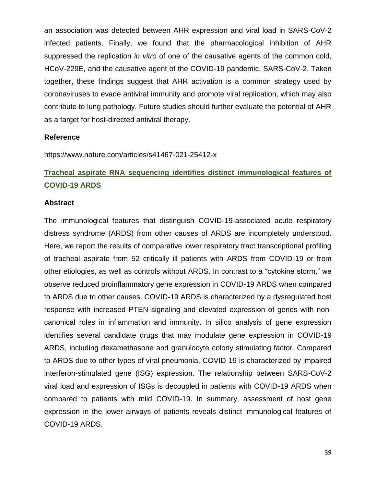an association was detected between AHR expression and viral load in SARS-CoV-2 infected patients. Finally, we found that the pharmacological inhibition of AHR suppressed the replication *in vitro* of one of the causative agents of the common cold, HCoV-229E, and the causative agent of the COVID-19 pandemic, SARS-CoV-2. Taken together, these findings suggest that AHR activation is a common strategy used by coronaviruses to evade antiviral immunity and promote viral replication, which may also contribute to lung pathology. Future studies should further evaluate the potential of AHR as a target for host-directed antiviral therapy.

### **Reference**

https://www.nature.com/articles/s41467-021-25412-x

## **Tracheal aspirate RNA sequencing identifies distinct immunological features of COVID-19 ARDS**

### **Abstract**

The immunological features that distinguish COVID-19-associated acute respiratory distress syndrome (ARDS) from other causes of ARDS are incompletely understood. Here, we report the results of comparative lower respiratory tract transcriptional profiling of tracheal aspirate from 52 critically ill patients with ARDS from COVID-19 or from other etiologies, as well as controls without ARDS. In contrast to a "cytokine storm," we observe reduced proinflammatory gene expression in COVID-19 ARDS when compared to ARDS due to other causes. COVID-19 ARDS is characterized by a dysregulated host response with increased PTEN signaling and elevated expression of genes with noncanonical roles in inflammation and immunity. In silico analysis of gene expression identifies several candidate drugs that may modulate gene expression in COVID-19 ARDS, including dexamethasone and granulocyte colony stimulating factor. Compared to ARDS due to other types of viral pneumonia, COVID-19 is characterized by impaired interferon-stimulated gene (ISG) expression. The relationship between SARS-CoV-2 viral load and expression of ISGs is decoupled in patients with COVID-19 ARDS when compared to patients with mild COVID-19. In summary, assessment of host gene expression in the lower airways of patients reveals distinct immunological features of COVID-19 ARDS.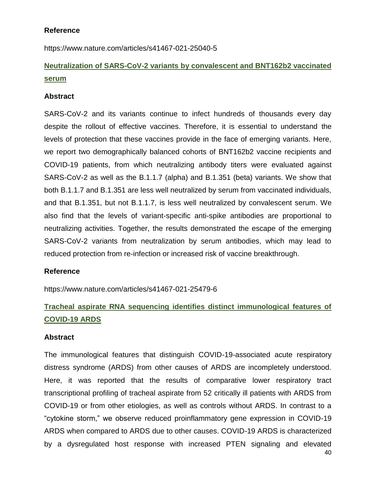## **Reference**

https://www.nature.com/articles/s41467-021-25040-5

## **Neutralization of SARS-CoV-2 variants by convalescent and BNT162b2 vaccinated serum**

## **Abstract**

SARS-CoV-2 and its variants continue to infect hundreds of thousands every day despite the rollout of effective vaccines. Therefore, it is essential to understand the levels of protection that these vaccines provide in the face of emerging variants. Here, we report two demographically balanced cohorts of BNT162b2 vaccine recipients and COVID-19 patients, from which neutralizing antibody titers were evaluated against SARS-CoV-2 as well as the B.1.1.7 (alpha) and B.1.351 (beta) variants. We show that both B.1.1.7 and B.1.351 are less well neutralized by serum from vaccinated individuals, and that B.1.351, but not B.1.1.7, is less well neutralized by convalescent serum. We also find that the levels of variant-specific anti-spike antibodies are proportional to neutralizing activities. Together, the results demonstrated the escape of the emerging SARS-CoV-2 variants from neutralization by serum antibodies, which may lead to reduced protection from re-infection or increased risk of vaccine breakthrough.

### **Reference**

https://www.nature.com/articles/s41467-021-25479-6

## **Tracheal aspirate RNA sequencing identifies distinct immunological features of COVID-19 ARDS**

## **Abstract**

40 The immunological features that distinguish COVID-19-associated acute respiratory distress syndrome (ARDS) from other causes of ARDS are incompletely understood. Here, it was reported that the results of comparative lower respiratory tract transcriptional profiling of tracheal aspirate from 52 critically ill patients with ARDS from COVID-19 or from other etiologies, as well as controls without ARDS. In contrast to a "cytokine storm," we observe reduced proinflammatory gene expression in COVID-19 ARDS when compared to ARDS due to other causes. COVID-19 ARDS is characterized by a dysregulated host response with increased PTEN signaling and elevated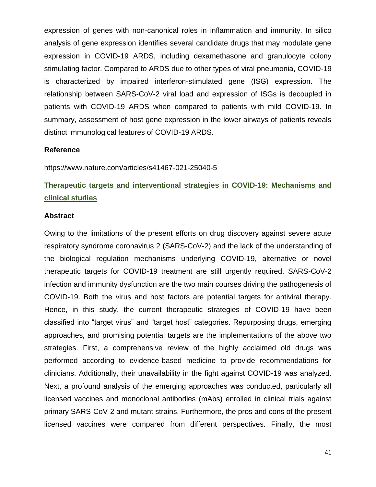expression of genes with non-canonical roles in inflammation and immunity. In silico analysis of gene expression identifies several candidate drugs that may modulate gene expression in COVID-19 ARDS, including dexamethasone and granulocyte colony stimulating factor. Compared to ARDS due to other types of viral pneumonia, COVID-19 is characterized by impaired interferon-stimulated gene (ISG) expression. The relationship between SARS-CoV-2 viral load and expression of ISGs is decoupled in patients with COVID-19 ARDS when compared to patients with mild COVID-19. In summary, assessment of host gene expression in the lower airways of patients reveals distinct immunological features of COVID-19 ARDS.

### **Reference**

https://www.nature.com/articles/s41467-021-25040-5

## **Therapeutic targets and interventional strategies in COVID-19: Mechanisms and clinical studies**

#### **Abstract**

Owing to the limitations of the present efforts on drug discovery against severe acute respiratory syndrome coronavirus 2 (SARS-CoV-2) and the lack of the understanding of the biological regulation mechanisms underlying COVID-19, alternative or novel therapeutic targets for COVID-19 treatment are still urgently required. SARS-CoV-2 infection and immunity dysfunction are the two main courses driving the pathogenesis of COVID-19. Both the virus and host factors are potential targets for antiviral therapy. Hence, in this study, the current therapeutic strategies of COVID-19 have been classified into "target virus" and "target host" categories. Repurposing drugs, emerging approaches, and promising potential targets are the implementations of the above two strategies. First, a comprehensive review of the highly acclaimed old drugs was performed according to evidence-based medicine to provide recommendations for clinicians. Additionally, their unavailability in the fight against COVID-19 was analyzed. Next, a profound analysis of the emerging approaches was conducted, particularly all licensed vaccines and monoclonal antibodies (mAbs) enrolled in clinical trials against primary SARS-CoV-2 and mutant strains. Furthermore, the pros and cons of the present licensed vaccines were compared from different perspectives. Finally, the most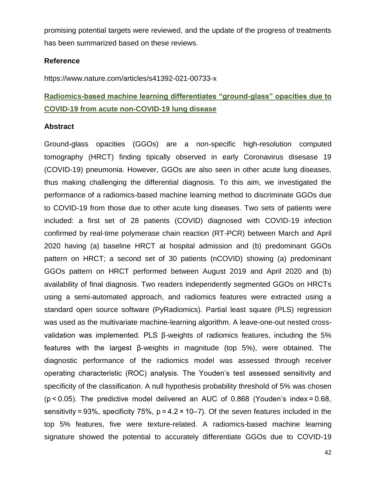promising potential targets were reviewed, and the update of the progress of treatments has been summarized based on these reviews.

### **Reference**

https://www.nature.com/articles/s41392-021-00733-x

## **Radiomics-based machine learning differentiates "ground-glass" opacities due to COVID-19 from acute non-COVID-19 lung disease**

### **Abstract**

Ground-glass opacities (GGOs) are a non-specific high-resolution computed tomography (HRCT) finding tipically observed in early Coronavirus disesase 19 (COVID-19) pneumonia. However, GGOs are also seen in other acute lung diseases, thus making challenging the differential diagnosis. To this aim, we investigated the performance of a radiomics-based machine learning method to discriminate GGOs due to COVID-19 from those due to other acute lung diseases. Two sets of patients were included: a first set of 28 patients (COVID) diagnosed with COVID-19 infection confirmed by real-time polymerase chain reaction (RT-PCR) between March and April 2020 having (a) baseline HRCT at hospital admission and (b) predominant GGOs pattern on HRCT; a second set of 30 patients (nCOVID) showing (a) predominant GGOs pattern on HRCT performed between August 2019 and April 2020 and (b) availability of final diagnosis. Two readers independently segmented GGOs on HRCTs using a semi-automated approach, and radiomics features were extracted using a standard open source software (PyRadiomics). Partial least square (PLS) regression was used as the multivariate machine-learning algorithm. A leave-one-out nested crossvalidation was implemented. PLS β-weights of radiomics features, including the 5% features with the largest β-weights in magnitude (top 5%), were obtained. The diagnostic performance of the radiomics model was assessed through receiver operating characteristic (ROC) analysis. The Youden's test assessed sensitivity and specificity of the classification. A null hypothesis probability threshold of 5% was chosen (p < 0.05). The predictive model delivered an AUC of 0.868 (Youden's index = 0.68, sensitivity = 93%, specificity 75%,  $p = 4.2 \times 10-7$ ). Of the seven features included in the top 5% features, five were texture-related. A radiomics-based machine learning signature showed the potential to accurately differentiate GGOs due to COVID-19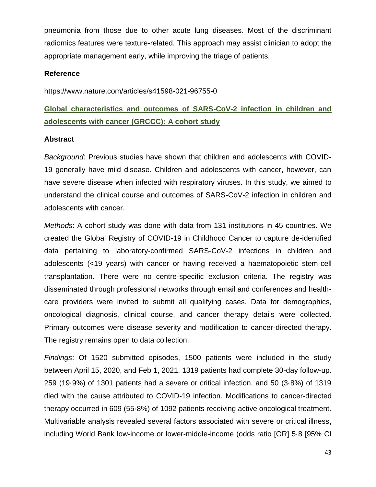pneumonia from those due to other acute lung diseases. Most of the discriminant radiomics features were texture-related. This approach may assist clinician to adopt the appropriate management early, while improving the triage of patients.

### **Reference**

https://www.nature.com/articles/s41598-021-96755-0

## **Global characteristics and outcomes of SARS-CoV-2 infection in children and adolescents with cancer (GRCCC): A cohort study**

### **Abstract**

*Background*: Previous studies have shown that children and adolescents with COVID-19 generally have mild disease. Children and adolescents with cancer, however, can have severe disease when infected with respiratory viruses. In this study, we aimed to understand the clinical course and outcomes of SARS-CoV-2 infection in children and adolescents with cancer.

*Methods*: A cohort study was done with data from 131 institutions in 45 countries. We created the Global Registry of COVID-19 in Childhood Cancer to capture de-identified data pertaining to laboratory-confirmed SARS-CoV-2 infections in children and adolescents (<19 years) with cancer or having received a haematopoietic stem-cell transplantation. There were no centre-specific exclusion criteria. The registry was disseminated through professional networks through email and conferences and healthcare providers were invited to submit all qualifying cases. Data for demographics, oncological diagnosis, clinical course, and cancer therapy details were collected. Primary outcomes were disease severity and modification to cancer-directed therapy. The registry remains open to data collection.

*Findings*: Of 1520 submitted episodes, 1500 patients were included in the study between April 15, 2020, and Feb 1, 2021. 1319 patients had complete 30-day follow-up. 259 (19·9%) of 1301 patients had a severe or critical infection, and 50 (3·8%) of 1319 died with the cause attributed to COVID-19 infection. Modifications to cancer-directed therapy occurred in 609 (55·8%) of 1092 patients receiving active oncological treatment. Multivariable analysis revealed several factors associated with severe or critical illness, including World Bank low-income or lower-middle-income (odds ratio [OR] 5·8 [95% CI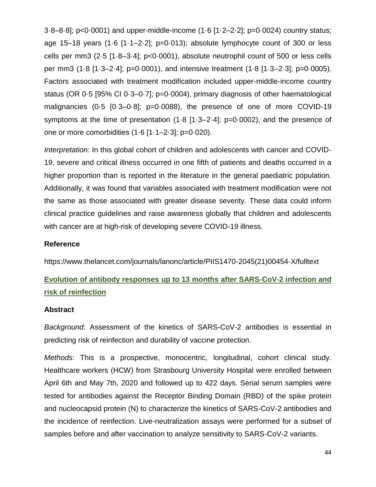3·8–8·8]; p<0·0001) and upper-middle-income (1·6 [1·2–2·2]; p=0·0024) country status; age 15–18 years  $(1.6 \t[1.1–2.2])$ ;  $p=0.013$ ; absolute lymphocyte count of 300 or less cells per mm3 (2·5 [1·8–3·4]; p<0·0001), absolute neutrophil count of 500 or less cells per mm3 (1·8 [1·3–2·4]; p=0·0001), and intensive treatment (1·8 [1·3–2·3]; p=0·0005). Factors associated with treatment modification included upper-middle-income country status (OR 0·5 [95% CI 0·3–0·7]; p=0·0004), primary diagnosis of other haematological malignancies (0·5 [0·3–0·8]; p=0·0088), the presence of one of more COVID-19 symptoms at the time of presentation (1·8 [1·3–2·4]; p=0·0002), and the presence of one or more comorbidities (1·6 [1·1–2·3]; p=0·020).

*Interpretation*: In this global cohort of children and adolescents with cancer and COVID-19, severe and critical illness occurred in one fifth of patients and deaths occurred in a higher proportion than is reported in the literature in the general paediatric population. Additionally, it was found that variables associated with treatment modification were not the same as those associated with greater disease severity. These data could inform clinical practice guidelines and raise awareness globally that children and adolescents with cancer are at high-risk of developing severe COVID-19 illness.

### **Reference**

https://www.thelancet.com/journals/lanonc/article/PIIS1470-2045(21)00454-X/fulltext

## **Evolution of antibody responses up to 13 months after SARS-CoV-2 infection and risk of reinfection**

## **Abstract**

*Background*: Assessment of the kinetics of SARS-CoV-2 antibodies is essential in predicting risk of reinfection and durability of vaccine protection.

*Methods*: This is a prospective, monocentric, longitudinal, cohort clinical study. Healthcare workers (HCW) from Strasbourg University Hospital were enrolled between April 6th and May 7th, 2020 and followed up to 422 days. Serial serum samples were tested for antibodies against the Receptor Binding Domain (RBD) of the spike protein and nucleocapsid protein (N) to characterize the kinetics of SARS-CoV-2 antibodies and the incidence of reinfection. Live-neutralization assays were performed for a subset of samples before and after vaccination to analyze sensitivity to SARS-CoV-2 variants.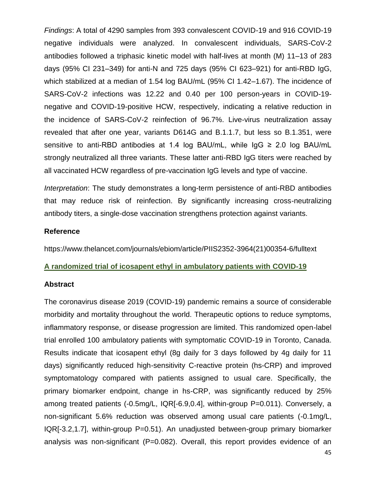*Findings*: A total of 4290 samples from 393 convalescent COVID-19 and 916 COVID-19 negative individuals were analyzed. In convalescent individuals, SARS-CoV-2 antibodies followed a triphasic kinetic model with half-lives at month (M) 11–13 of 283 days (95% CI 231–349) for anti-N and 725 days (95% CI 623–921) for anti-RBD IgG, which stabilized at a median of 1.54 log BAU/mL (95% CI 1.42–1.67). The incidence of SARS-CoV-2 infections was 12.22 and 0.40 per 100 person-years in COVID-19 negative and COVID-19-positive HCW, respectively, indicating a relative reduction in the incidence of SARS-CoV-2 reinfection of 96.7%. Live-virus neutralization assay revealed that after one year, variants D614G and B.1.1.7, but less so B.1.351, were sensitive to anti-RBD antibodies at 1.4 log BAU/mL, while IgG ≥ 2.0 log BAU/mL strongly neutralized all three variants. These latter anti-RBD IgG titers were reached by all vaccinated HCW regardless of pre-vaccination IgG levels and type of vaccine.

*Interpretation*: The study demonstrates a long-term persistence of anti-RBD antibodies that may reduce risk of reinfection. By significantly increasing cross-neutralizing antibody titers, a single-dose vaccination strengthens protection against variants.

## **Reference**

https://www.thelancet.com/journals/ebiom/article/PIIS2352-3964(21)00354-6/fulltext

## **A randomized trial of icosapent ethyl in ambulatory patients with COVID-19**

### **Abstract**

The coronavirus disease 2019 (COVID-19) pandemic remains a source of considerable morbidity and mortality throughout the world. Therapeutic options to reduce symptoms, inflammatory response, or disease progression are limited. This randomized open-label trial enrolled 100 ambulatory patients with symptomatic COVID-19 in Toronto, Canada. Results indicate that icosapent ethyl (8g daily for 3 days followed by 4g daily for 11 days) significantly reduced high-sensitivity C-reactive protein (hs-CRP) and improved symptomatology compared with patients assigned to usual care. Specifically, the primary biomarker endpoint, change in hs-CRP, was significantly reduced by 25% among treated patients (-0.5mg/L, IQRI-6.9,0.4], within-group P=0.011). Conversely, a non-significant 5.6% reduction was observed among usual care patients (-0.1mg/L, IQR[-3.2,1.7], within-group P=0.51). An unadjusted between-group primary biomarker analysis was non-significant (P=0.082). Overall, this report provides evidence of an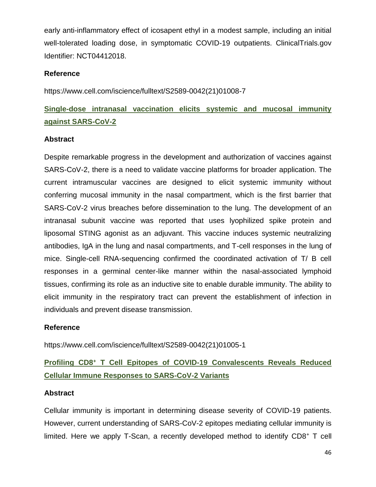early anti-inflammatory effect of icosapent ethyl in a modest sample, including an initial well-tolerated loading dose, in symptomatic COVID-19 outpatients. ClinicalTrials.gov Identifier: NCT04412018.

## **Reference**

https://www.cell.com/iscience/fulltext/S2589-0042(21)01008-7

## **Single-dose intranasal vaccination elicits systemic and mucosal immunity against SARS-CoV-2**

## **Abstract**

Despite remarkable progress in the development and authorization of vaccines against SARS-CoV-2, there is a need to validate vaccine platforms for broader application. The current intramuscular vaccines are designed to elicit systemic immunity without conferring mucosal immunity in the nasal compartment, which is the first barrier that SARS-CoV-2 virus breaches before dissemination to the lung. The development of an intranasal subunit vaccine was reported that uses lyophilized spike protein and liposomal STING agonist as an adjuvant. This vaccine induces systemic neutralizing antibodies, IgA in the lung and nasal compartments, and T-cell responses in the lung of mice. Single-cell RNA-sequencing confirmed the coordinated activation of T/ B cell responses in a germinal center-like manner within the nasal-associated lymphoid tissues, confirming its role as an inductive site to enable durable immunity. The ability to elicit immunity in the respiratory tract can prevent the establishment of infection in individuals and prevent disease transmission.

## **Reference**

https://www.cell.com/iscience/fulltext/S2589-0042(21)01005-1

## **Profiling CD8<sup>+</sup> T Cell Epitopes of COVID-19 Convalescents Reveals Reduced Cellular Immune Responses to SARS-CoV-2 Variants**

## **Abstract**

Cellular immunity is important in determining disease severity of COVID-19 patients. However, current understanding of SARS-CoV-2 epitopes mediating cellular immunity is limited. Here we apply T-Scan, a recently developed method to identify CD8<sup>+</sup> T cell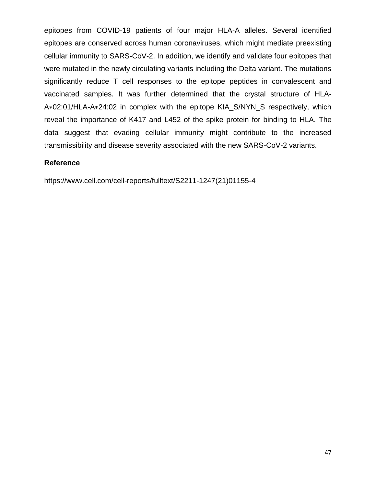epitopes from COVID-19 patients of four major HLA-A alleles. Several identified epitopes are conserved across human coronaviruses, which might mediate preexisting cellular immunity to SARS-CoV-2. In addition, we identify and validate four epitopes that were mutated in the newly circulating variants including the Delta variant. The mutations significantly reduce T cell responses to the epitope peptides in convalescent and vaccinated samples. It was further determined that the crystal structure of HLA-A∗02:01/HLA-A∗24:02 in complex with the epitope KIA\_S/NYN\_S respectively, which reveal the importance of K417 and L452 of the spike protein for binding to HLA. The data suggest that evading cellular immunity might contribute to the increased transmissibility and disease severity associated with the new SARS-CoV-2 variants.

## **Reference**

https://www.cell.com/cell-reports/fulltext/S2211-1247(21)01155-4